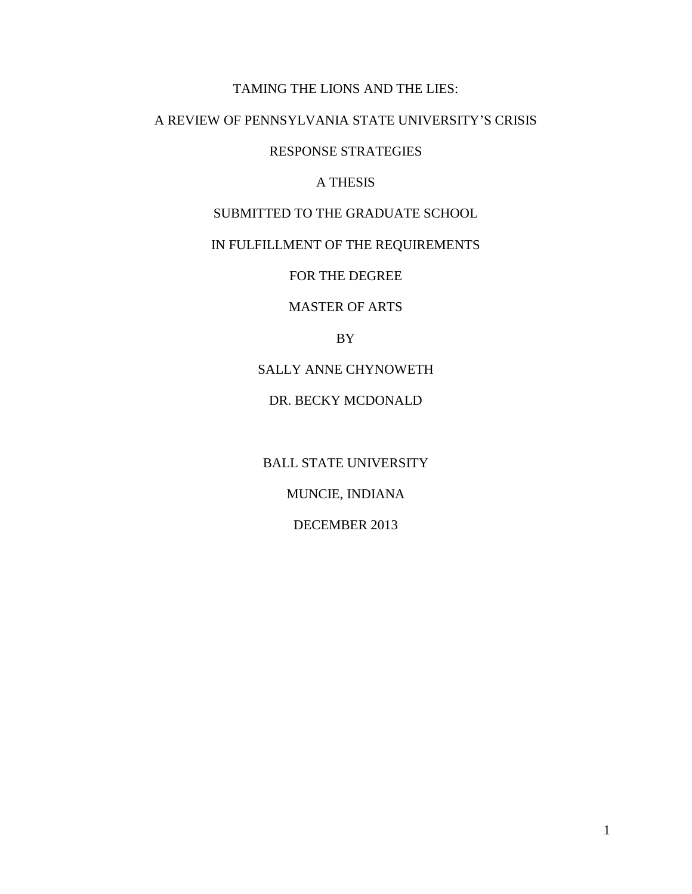# TAMING THE LIONS AND THE LIES:

# A REVIEW OF PENNSYLVANIA STATE UNIVERSITY'S CRISIS

RESPONSE STRATEGIES

## A THESIS

SUBMITTED TO THE GRADUATE SCHOOL

# IN FULFILLMENT OF THE REQUIREMENTS

FOR THE DEGREE

MASTER OF ARTS

BY

SALLY ANNE CHYNOWETH

DR. BECKY MCDONALD

BALL STATE UNIVERSITY MUNCIE, INDIANA DECEMBER 2013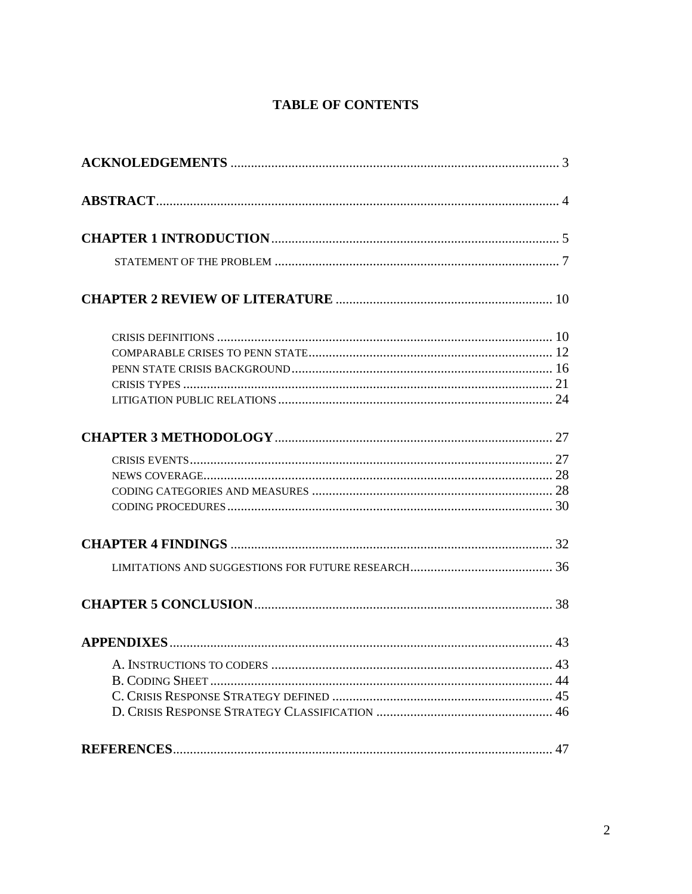# **TABLE OF CONTENTS**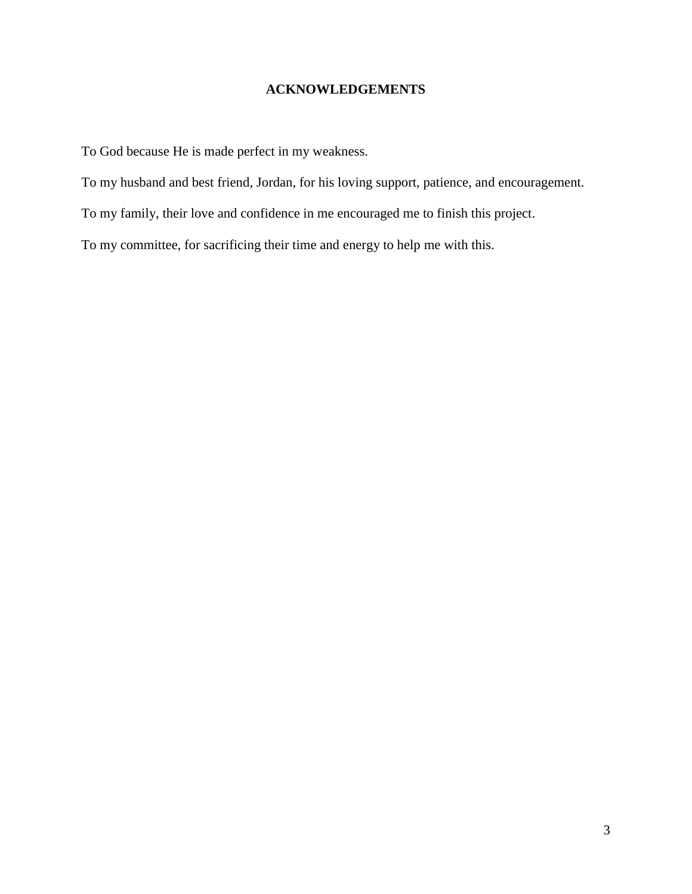# **ACKNOWLEDGEMENTS**

To God because He is made perfect in my weakness.

To my husband and best friend, Jordan, for his loving support, patience, and encouragement.

To my family, their love and confidence in me encouraged me to finish this project.

To my committee, for sacrificing their time and energy to help me with this.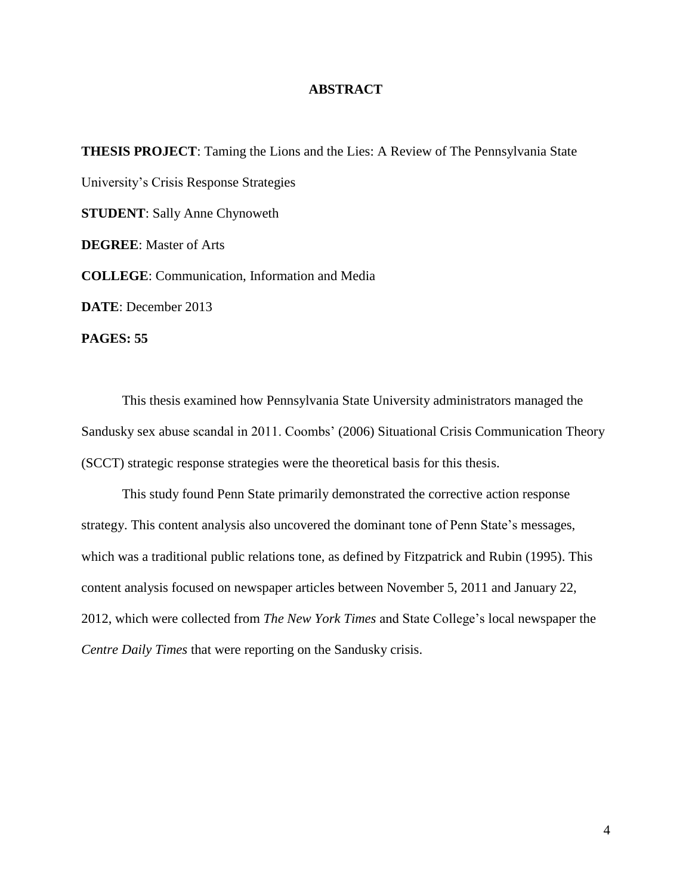### **ABSTRACT**

**THESIS PROJECT**: Taming the Lions and the Lies: A Review of The Pennsylvania State University's Crisis Response Strategies **STUDENT**: Sally Anne Chynoweth **DEGREE**: Master of Arts **COLLEGE**: Communication, Information and Media **DATE**: December 2013 **PAGES: 55**

This thesis examined how Pennsylvania State University administrators managed the Sandusky sex abuse scandal in 2011. Coombs' (2006) Situational Crisis Communication Theory (SCCT) strategic response strategies were the theoretical basis for this thesis.

This study found Penn State primarily demonstrated the corrective action response strategy. This content analysis also uncovered the dominant tone of Penn State's messages, which was a traditional public relations tone, as defined by Fitzpatrick and Rubin (1995). This content analysis focused on newspaper articles between November 5, 2011 and January 22, 2012, which were collected from *The New York Times* and State College's local newspaper the *Centre Daily Times* that were reporting on the Sandusky crisis.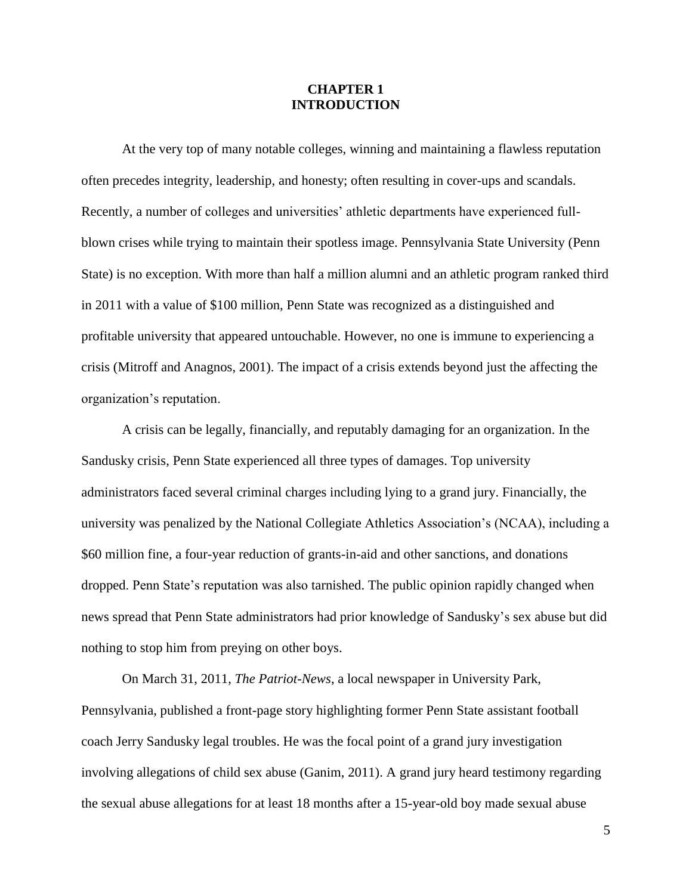## **CHAPTER 1 INTRODUCTION**

At the very top of many notable colleges, winning and maintaining a flawless reputation often precedes integrity, leadership, and honesty; often resulting in cover-ups and scandals. Recently, a number of colleges and universities' athletic departments have experienced fullblown crises while trying to maintain their spotless image. Pennsylvania State University (Penn State) is no exception. With more than half a million alumni and an athletic program ranked third in 2011 with a value of \$100 million, Penn State was recognized as a distinguished and profitable university that appeared untouchable. However, no one is immune to experiencing a crisis (Mitroff and Anagnos, 2001). The impact of a crisis extends beyond just the affecting the organization's reputation.

A crisis can be legally, financially, and reputably damaging for an organization. In the Sandusky crisis, Penn State experienced all three types of damages. Top university administrators faced several criminal charges including lying to a grand jury. Financially, the university was penalized by the National Collegiate Athletics Association's (NCAA), including a \$60 million fine, a four-year reduction of grants-in-aid and other sanctions, and donations dropped. Penn State's reputation was also tarnished. The public opinion rapidly changed when news spread that Penn State administrators had prior knowledge of Sandusky's sex abuse but did nothing to stop him from preying on other boys.

On March 31, 2011, *The Patriot-News*, a local newspaper in University Park, Pennsylvania, published a front-page story highlighting former Penn State assistant football coach Jerry Sandusky legal troubles. He was the focal point of a grand jury investigation involving allegations of child sex abuse (Ganim, 2011). A grand jury heard testimony regarding the sexual abuse allegations for at least 18 months after a 15-year-old boy made sexual abuse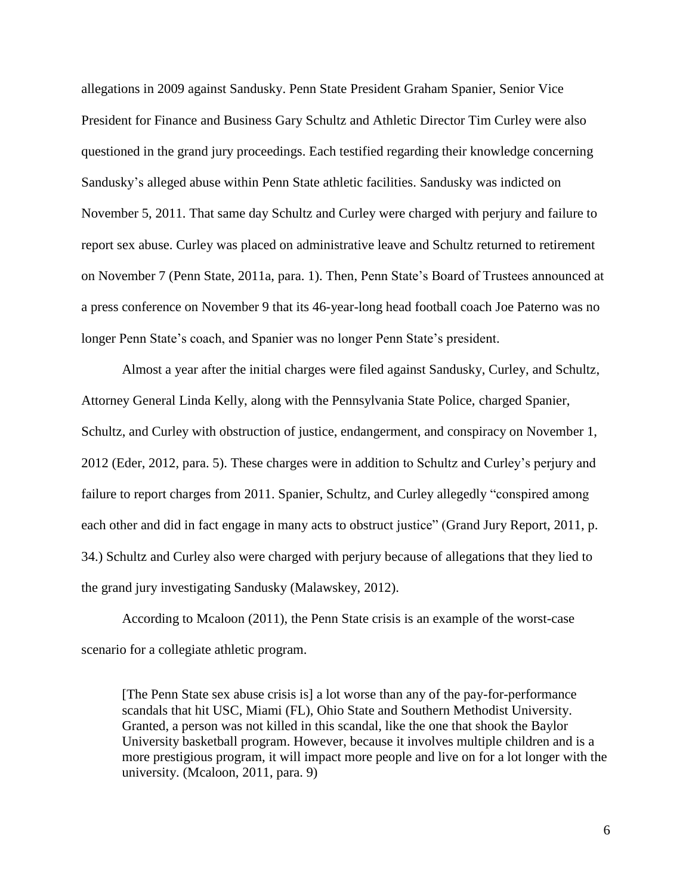allegations in 2009 against Sandusky. Penn State President Graham Spanier, Senior Vice President for Finance and Business Gary Schultz and Athletic Director Tim Curley were also questioned in the grand jury proceedings. Each testified regarding their knowledge concerning Sandusky's alleged abuse within Penn State athletic facilities. Sandusky was indicted on November 5, 2011. That same day Schultz and Curley were charged with perjury and failure to report sex abuse. Curley was placed on administrative leave and Schultz returned to retirement on November 7 (Penn State, 2011a, para. 1). Then, Penn State's Board of Trustees announced at a press conference on November 9 that its 46-year-long head football coach Joe Paterno was no longer Penn State's coach, and Spanier was no longer Penn State's president.

Almost a year after the initial charges were filed against Sandusky, Curley, and Schultz, Attorney General Linda Kelly, along with the Pennsylvania State Police, charged Spanier, Schultz, and Curley with obstruction of justice, endangerment, and conspiracy on November 1, 2012 (Eder, 2012, para. 5). These charges were in addition to Schultz and Curley's perjury and failure to report charges from 2011. Spanier, Schultz, and Curley allegedly "conspired among each other and did in fact engage in many acts to obstruct justice" (Grand Jury Report, 2011, p. 34.) Schultz and Curley also were charged with perjury because of allegations that they lied to the grand jury investigating Sandusky (Malawskey, 2012).

According to Mcaloon (2011), the Penn State crisis is an example of the worst-case scenario for a collegiate athletic program.

[The Penn State sex abuse crisis is] a lot worse than any of the pay-for-performance scandals that hit USC, Miami (FL), Ohio State and Southern Methodist University. Granted, a person was not killed in this scandal, like the one that shook the Baylor University basketball program. However, because it involves multiple children and is a more prestigious program, it will impact more people and live on for a lot longer with the university. (Mcaloon, 2011, para. 9)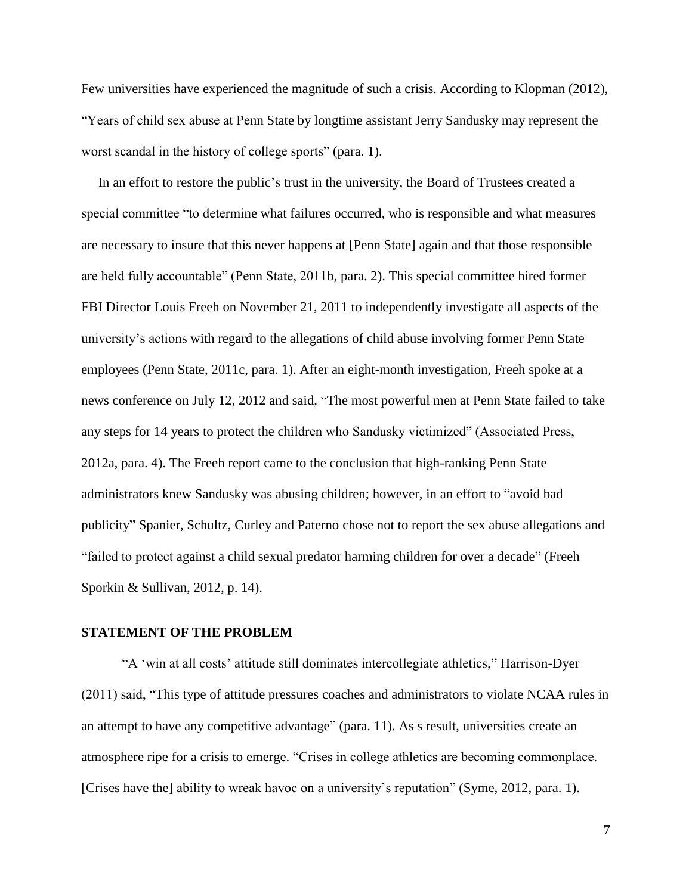Few universities have experienced the magnitude of such a crisis. According to Klopman (2012), "Years of child sex abuse at Penn State by longtime assistant Jerry Sandusky may represent the worst scandal in the history of college sports" (para. 1).

 In an effort to restore the public's trust in the university, the Board of Trustees created a special committee "to determine what failures occurred, who is responsible and what measures are necessary to insure that this never happens at [Penn State] again and that those responsible are held fully accountable" (Penn State, 2011b, para. 2). This special committee hired former FBI Director Louis Freeh on November 21, 2011 to independently investigate all aspects of the university's actions with regard to the allegations of child abuse involving former Penn State employees (Penn State, 2011c, para. 1). After an eight-month investigation, Freeh spoke at a news conference on July 12, 2012 and said, "The most powerful men at Penn State failed to take any steps for 14 years to protect the children who Sandusky victimized" (Associated Press, 2012a, para. 4). The Freeh report came to the conclusion that high-ranking Penn State administrators knew Sandusky was abusing children; however, in an effort to "avoid bad publicity" Spanier, Schultz, Curley and Paterno chose not to report the sex abuse allegations and "failed to protect against a child sexual predator harming children for over a decade" (Freeh Sporkin & Sullivan, 2012, p. 14).

#### **STATEMENT OF THE PROBLEM**

"A 'win at all costs' attitude still dominates intercollegiate athletics," Harrison-Dyer (2011) said, "This type of attitude pressures coaches and administrators to violate NCAA rules in an attempt to have any competitive advantage" (para. 11). As s result, universities create an atmosphere ripe for a crisis to emerge. "Crises in college athletics are becoming commonplace. [Crises have the] ability to wreak havoc on a university's reputation" (Syme, 2012, para. 1).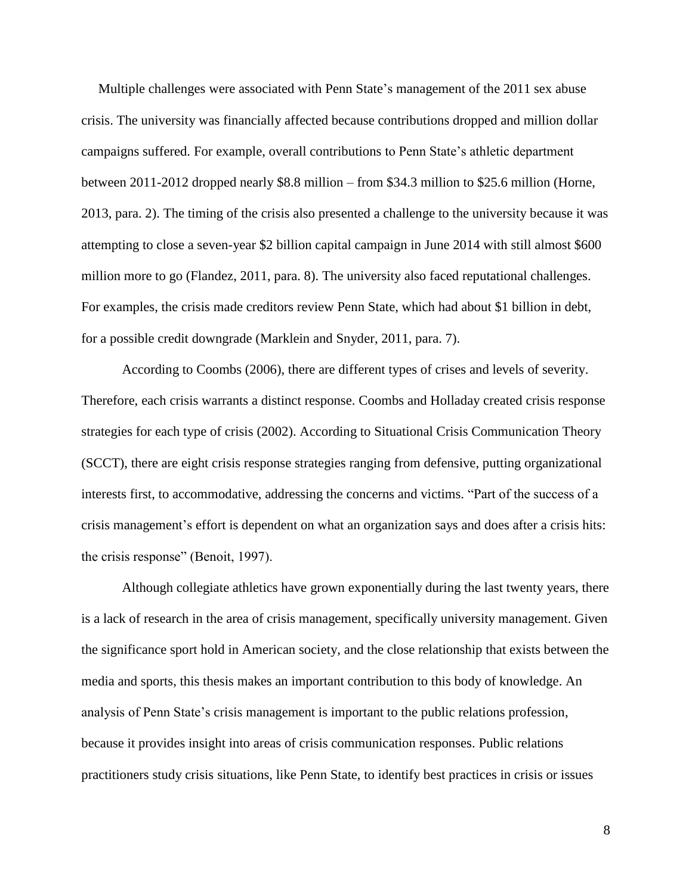Multiple challenges were associated with Penn State's management of the 2011 sex abuse crisis. The university was financially affected because contributions dropped and million dollar campaigns suffered. For example, overall contributions to Penn State's athletic department between 2011-2012 dropped nearly \$8.8 million – from \$34.3 million to \$25.6 million (Horne, 2013, para. 2). The timing of the crisis also presented a challenge to the university because it was attempting to close a seven-year \$2 billion capital campaign in June 2014 with still almost \$600 million more to go (Flandez, 2011, para. 8). The university also faced reputational challenges. For examples, the crisis made creditors review Penn State, which had about \$1 billion in debt, for a possible credit downgrade (Marklein and Snyder, 2011, para. 7).

According to Coombs (2006), there are different types of crises and levels of severity. Therefore, each crisis warrants a distinct response. Coombs and Holladay created crisis response strategies for each type of crisis (2002). According to Situational Crisis Communication Theory (SCCT), there are eight crisis response strategies ranging from defensive, putting organizational interests first, to accommodative, addressing the concerns and victims. "Part of the success of a crisis management's effort is dependent on what an organization says and does after a crisis hits: the crisis response" (Benoit, 1997).

Although collegiate athletics have grown exponentially during the last twenty years, there is a lack of research in the area of crisis management, specifically university management. Given the significance sport hold in American society, and the close relationship that exists between the media and sports, this thesis makes an important contribution to this body of knowledge. An analysis of Penn State's crisis management is important to the public relations profession, because it provides insight into areas of crisis communication responses. Public relations practitioners study crisis situations, like Penn State, to identify best practices in crisis or issues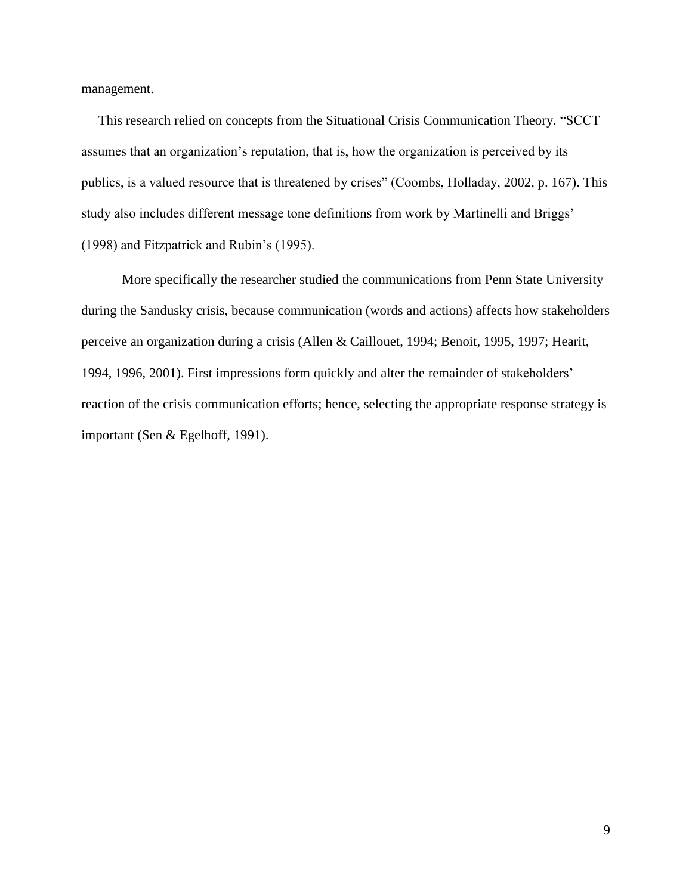management.

 This research relied on concepts from the Situational Crisis Communication Theory. "SCCT assumes that an organization's reputation, that is, how the organization is perceived by its publics, is a valued resource that is threatened by crises" (Coombs, Holladay, 2002, p. 167). This study also includes different message tone definitions from work by Martinelli and Briggs' (1998) and Fitzpatrick and Rubin's (1995).

More specifically the researcher studied the communications from Penn State University during the Sandusky crisis, because communication (words and actions) affects how stakeholders perceive an organization during a crisis (Allen & Caillouet, 1994; Benoit, 1995, 1997; Hearit, 1994, 1996, 2001). First impressions form quickly and alter the remainder of stakeholders' reaction of the crisis communication efforts; hence, selecting the appropriate response strategy is important (Sen & Egelhoff, 1991).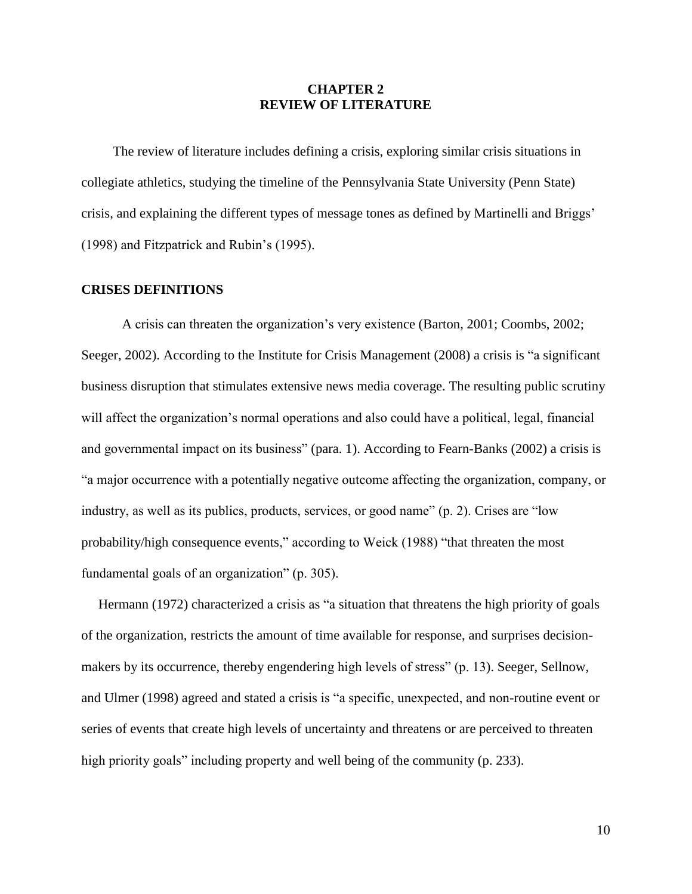## **CHAPTER 2 REVIEW OF LITERATURE**

The review of literature includes defining a crisis, exploring similar crisis situations in collegiate athletics, studying the timeline of the Pennsylvania State University (Penn State) crisis, and explaining the different types of message tones as defined by Martinelli and Briggs' (1998) and Fitzpatrick and Rubin's (1995).

#### **CRISES DEFINITIONS**

A crisis can threaten the organization's very existence (Barton, 2001; Coombs, 2002; Seeger, 2002). According to the Institute for Crisis Management (2008) a crisis is "a significant business disruption that stimulates extensive news media coverage. The resulting public scrutiny will affect the organization's normal operations and also could have a political, legal, financial and governmental impact on its business" (para. 1). According to Fearn-Banks (2002) a crisis is "a major occurrence with a potentially negative outcome affecting the organization, company, or industry, as well as its publics, products, services, or good name" (p. 2). Crises are "low probability/high consequence events," according to Weick (1988) "that threaten the most fundamental goals of an organization" (p. 305).

 Hermann (1972) characterized a crisis as "a situation that threatens the high priority of goals of the organization, restricts the amount of time available for response, and surprises decisionmakers by its occurrence, thereby engendering high levels of stress" (p. 13). Seeger, Sellnow, and Ulmer (1998) agreed and stated a crisis is "a specific, unexpected, and non-routine event or series of events that create high levels of uncertainty and threatens or are perceived to threaten high priority goals" including property and well being of the community (p. 233).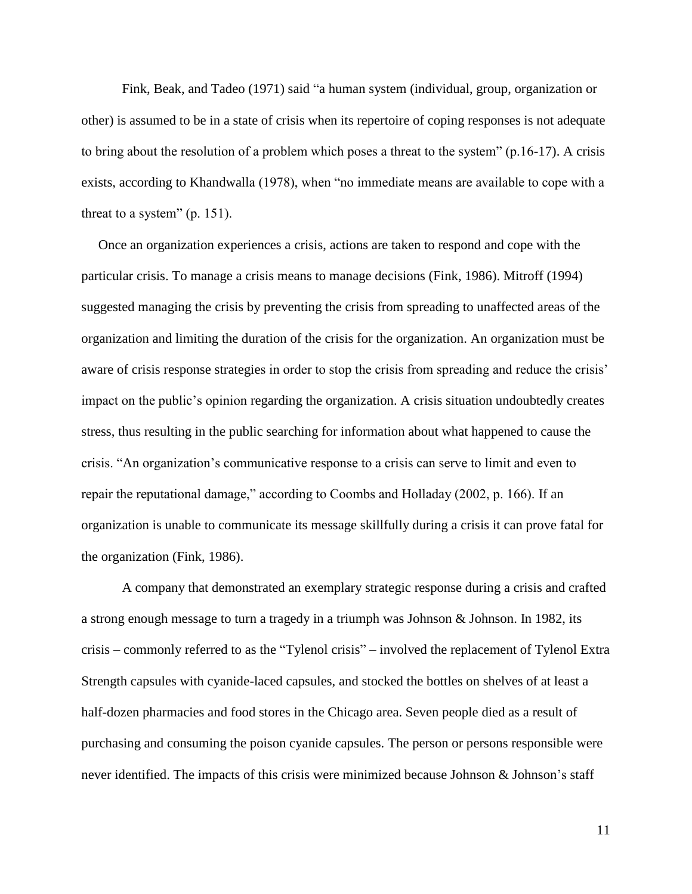Fink, Beak, and Tadeo (1971) said "a human system (individual, group, organization or other) is assumed to be in a state of crisis when its repertoire of coping responses is not adequate to bring about the resolution of a problem which poses a threat to the system" (p.16-17). A crisis exists, according to Khandwalla (1978), when "no immediate means are available to cope with a threat to a system" (p. 151).

 Once an organization experiences a crisis, actions are taken to respond and cope with the particular crisis. To manage a crisis means to manage decisions (Fink, 1986). Mitroff (1994) suggested managing the crisis by preventing the crisis from spreading to unaffected areas of the organization and limiting the duration of the crisis for the organization. An organization must be aware of crisis response strategies in order to stop the crisis from spreading and reduce the crisis' impact on the public's opinion regarding the organization. A crisis situation undoubtedly creates stress, thus resulting in the public searching for information about what happened to cause the crisis. "An organization's communicative response to a crisis can serve to limit and even to repair the reputational damage," according to Coombs and Holladay (2002, p. 166). If an organization is unable to communicate its message skillfully during a crisis it can prove fatal for the organization (Fink, 1986).

A company that demonstrated an exemplary strategic response during a crisis and crafted a strong enough message to turn a tragedy in a triumph was Johnson & Johnson. In 1982, its crisis – commonly referred to as the "Tylenol crisis" – involved the replacement of Tylenol Extra Strength capsules with cyanide-laced capsules, and stocked the bottles on shelves of at least a half-dozen pharmacies and food stores in the Chicago area. Seven people died as a result of purchasing and consuming the poison cyanide capsules. The person or persons responsible were never identified. The impacts of this crisis were minimized because Johnson & Johnson's staff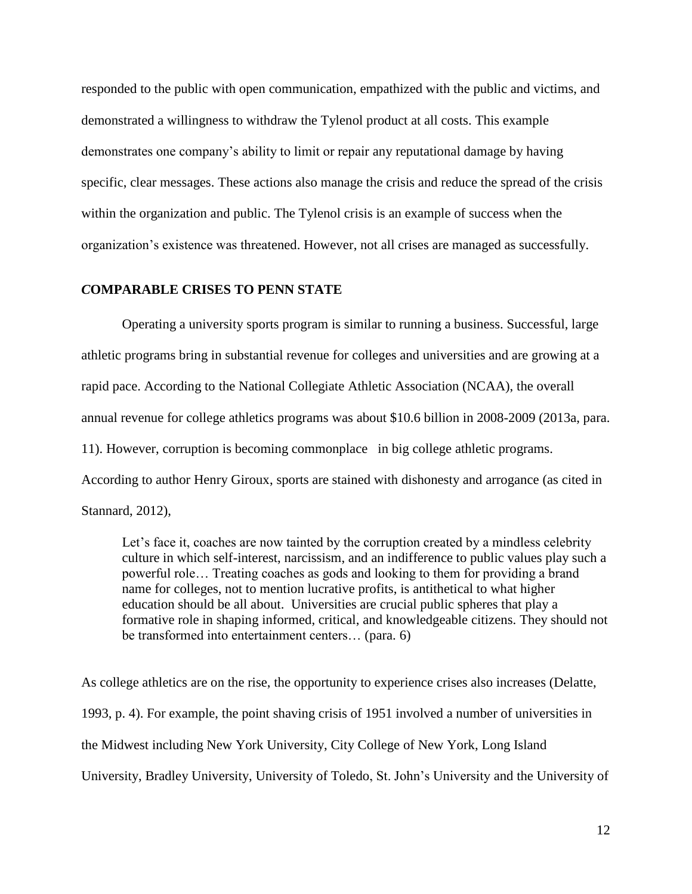responded to the public with open communication, empathized with the public and victims, and demonstrated a willingness to withdraw the Tylenol product at all costs. This example demonstrates one company's ability to limit or repair any reputational damage by having specific, clear messages. These actions also manage the crisis and reduce the spread of the crisis within the organization and public. The Tylenol crisis is an example of success when the organization's existence was threatened. However, not all crises are managed as successfully.

#### *C***OMPARABLE CRISES TO PENN STATE**

Operating a university sports program is similar to running a business. Successful, large athletic programs bring in substantial revenue for colleges and universities and are growing at a rapid pace. According to the National Collegiate Athletic Association (NCAA), the overall annual revenue for college athletics programs was about \$10.6 billion in 2008-2009 (2013a, para. 11). However, corruption is becoming commonplace in big college athletic programs. According to author Henry Giroux, sports are stained with dishonesty and arrogance (as cited in Stannard, 2012),

Let's face it, coaches are now tainted by the corruption created by a mindless celebrity culture in which self-interest, narcissism, and an indifference to public values play such a powerful role… Treating coaches as gods and looking to them for providing a brand name for colleges, not to mention lucrative profits, is antithetical to what higher education should be all about. Universities are crucial public spheres that play a formative role in shaping informed, critical, and knowledgeable citizens. They should not be transformed into entertainment centers… (para. 6)

As college athletics are on the rise, the opportunity to experience crises also increases (Delatte, 1993, p. 4). For example, the point shaving crisis of 1951 involved a number of universities in the Midwest including New York University, City College of New York, Long Island University, Bradley University, University of Toledo, St. John's University and the University of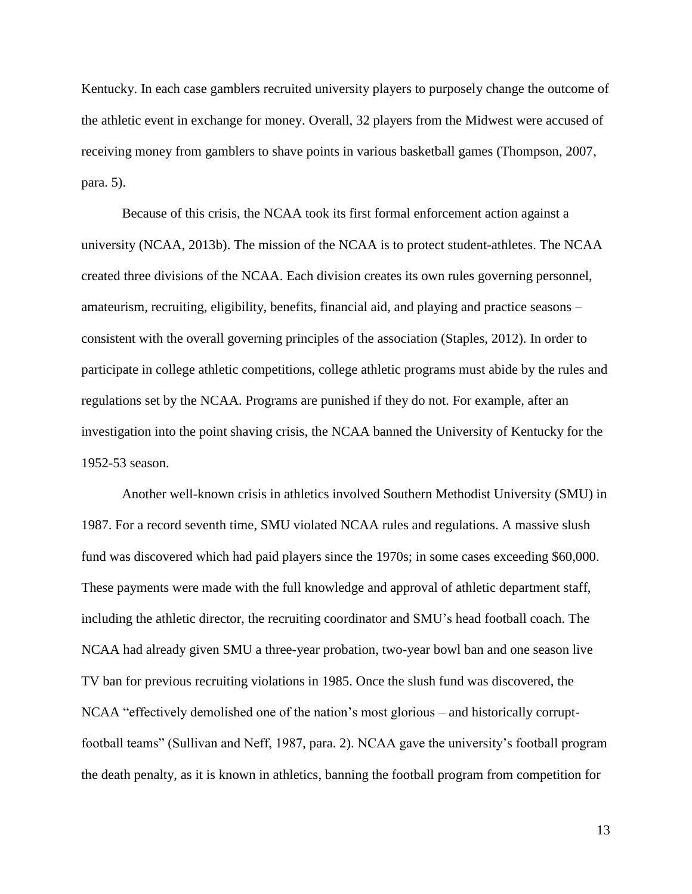Kentucky. In each case gamblers recruited university players to purposely change the outcome of the athletic event in exchange for money. Overall, 32 players from the Midwest were accused of receiving money from gamblers to shave points in various basketball games (Thompson, 2007, para. 5).

Because of this crisis, the NCAA took its first formal enforcement action against a university (NCAA, 2013b). The mission of the NCAA is to protect student-athletes. The NCAA created three divisions of the NCAA. Each division creates its own rules governing personnel, amateurism, recruiting, eligibility, benefits, financial aid, and playing and practice seasons – consistent with the overall governing principles of the association (Staples, 2012). In order to participate in college athletic competitions, college athletic programs must abide by the rules and regulations set by the NCAA. Programs are punished if they do not. For example, after an investigation into the point shaving crisis, the NCAA banned the University of Kentucky for the 1952-53 season.

Another well-known crisis in athletics involved Southern Methodist University (SMU) in 1987. For a record seventh time, SMU violated NCAA rules and regulations. A massive slush fund was discovered which had paid players since the 1970s; in some cases exceeding \$60,000. These payments were made with the full knowledge and approval of athletic department staff, including the athletic director, the recruiting coordinator and SMU's head football coach. The NCAA had already given SMU a three-year probation, two-year bowl ban and one season live TV ban for previous recruiting violations in 1985. Once the slush fund was discovered, the NCAA "effectively demolished one of the nation's most glorious – and historically corruptfootball teams" (Sullivan and Neff, 1987, para. 2). NCAA gave the university's football program the death penalty, as it is known in athletics, banning the football program from competition for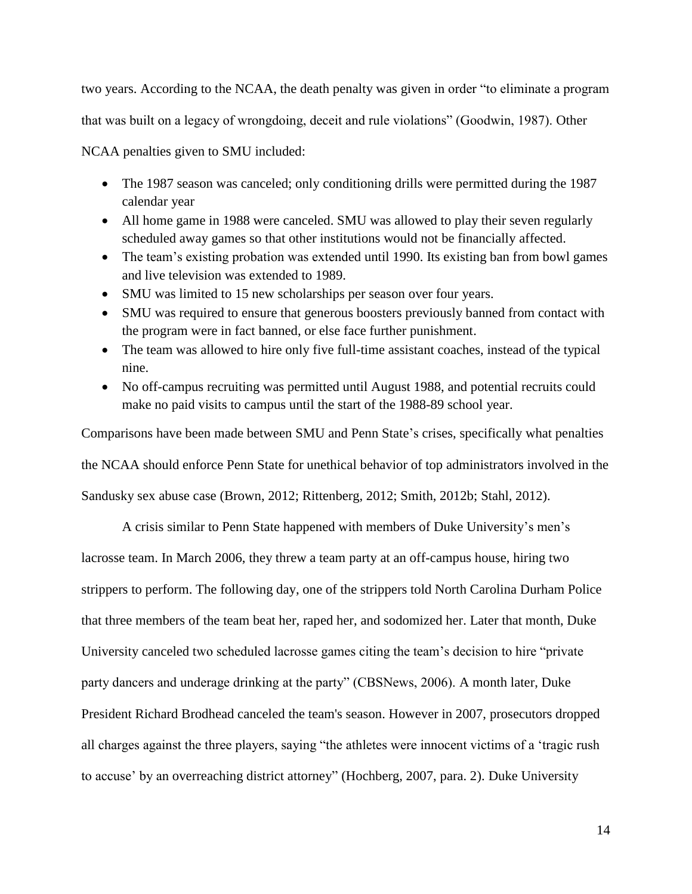two years. According to the NCAA, the death penalty was given in order "to eliminate a program

that was built on a legacy of wrongdoing, deceit and rule violations" (Goodwin, 1987). Other

NCAA penalties given to SMU included:

- The 1987 season was canceled; only conditioning drills were permitted during the 1987 calendar year
- All home game in 1988 were canceled. SMU was allowed to play their seven regularly scheduled away games so that other institutions would not be financially affected.
- The team's existing probation was extended until 1990. Its existing ban from bowl games and live television was extended to 1989.
- SMU was limited to 15 new scholarships per season over four years.
- SMU was required to ensure that generous boosters previously banned from contact with the program were in fact banned, or else face further punishment.
- The team was allowed to hire only five full-time assistant coaches, instead of the typical nine.
- No off-campus recruiting was permitted until August 1988, and potential recruits could make no paid visits to campus until the start of the 1988-89 school year.

Comparisons have been made between SMU and Penn State's crises, specifically what penalties the NCAA should enforce Penn State for unethical behavior of top administrators involved in the Sandusky sex abuse case (Brown, 2012; Rittenberg, 2012; Smith, 2012b; Stahl, 2012).

A crisis similar to Penn State happened with members of Duke University's men's lacrosse team. In March 2006, they threw a team party at an off-campus house, hiring two strippers to perform. The following day, one of the strippers told North Carolina Durham Police that three members of the team beat her, raped her, and sodomized her. Later that month, Duke University canceled two scheduled lacrosse games citing the team's decision to hire "private party dancers and underage drinking at the party" (CBSNews, 2006). A month later, Duke President Richard Brodhead canceled the team's season. However in 2007, prosecutors dropped all charges against the three players, saying "the athletes were innocent victims of a 'tragic rush to accuse' by an overreaching district attorney" (Hochberg, 2007, para. 2). Duke University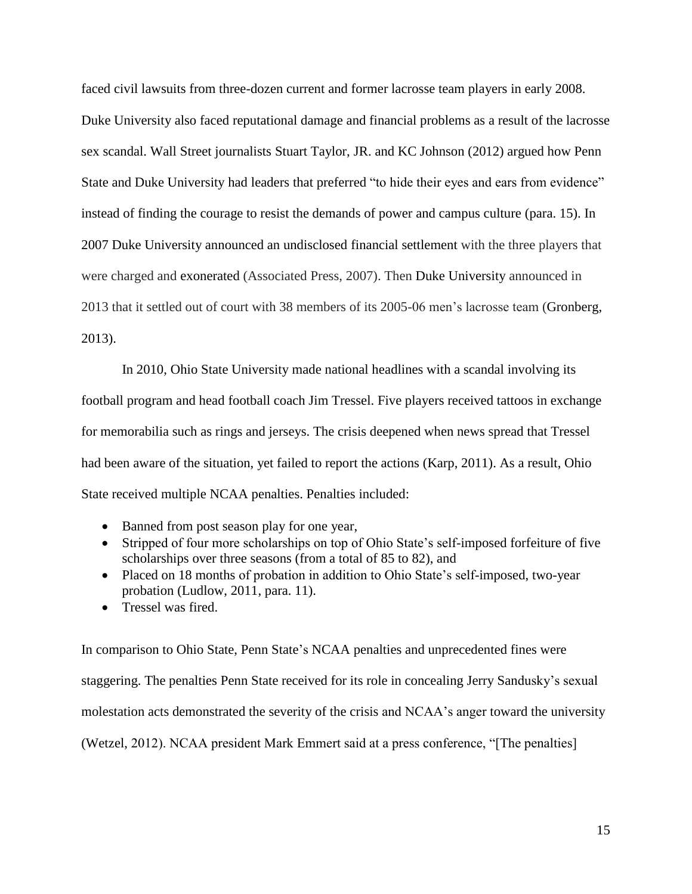faced civil lawsuits from three-dozen current and former lacrosse team players in early 2008. Duke University also faced reputational damage and financial problems as a result of the lacrosse sex scandal. Wall Street journalists Stuart Taylor, JR. and KC Johnson (2012) argued how Penn State and Duke University had leaders that preferred "to hide their eyes and ears from evidence" instead of finding the courage to resist the demands of power and campus culture (para. 15). In 2007 Duke University announced an undisclosed financial settlement with the three players that were charged and exonerated (Associated Press, 2007). Then Duke University announced in 2013 that it settled out of court with 38 members of its 2005-06 men's lacrosse team (Gronberg, 2013).

In 2010, Ohio State University made national headlines with a scandal involving its football program and head football coach Jim Tressel. Five players received tattoos in exchange for memorabilia such as rings and jerseys. The crisis deepened when news spread that Tressel had been aware of the situation, yet failed to report the actions (Karp, 2011). As a result, Ohio State received multiple NCAA penalties. Penalties included:

- Banned from post season play for one year,
- Stripped of four more scholarships on top of Ohio State's self-imposed forfeiture of five scholarships over three seasons (from a total of 85 to 82), and
- Placed on 18 months of probation in addition to Ohio State's self-imposed, two-year probation (Ludlow, 2011, para. 11).
- Tressel was fired.

In comparison to Ohio State, Penn State's NCAA penalties and unprecedented fines were staggering. The penalties Penn State received for its role in concealing Jerry Sandusky's sexual molestation acts demonstrated the severity of the crisis and NCAA's anger toward the university (Wetzel, 2012). NCAA president Mark Emmert said at a press conference, "[The penalties]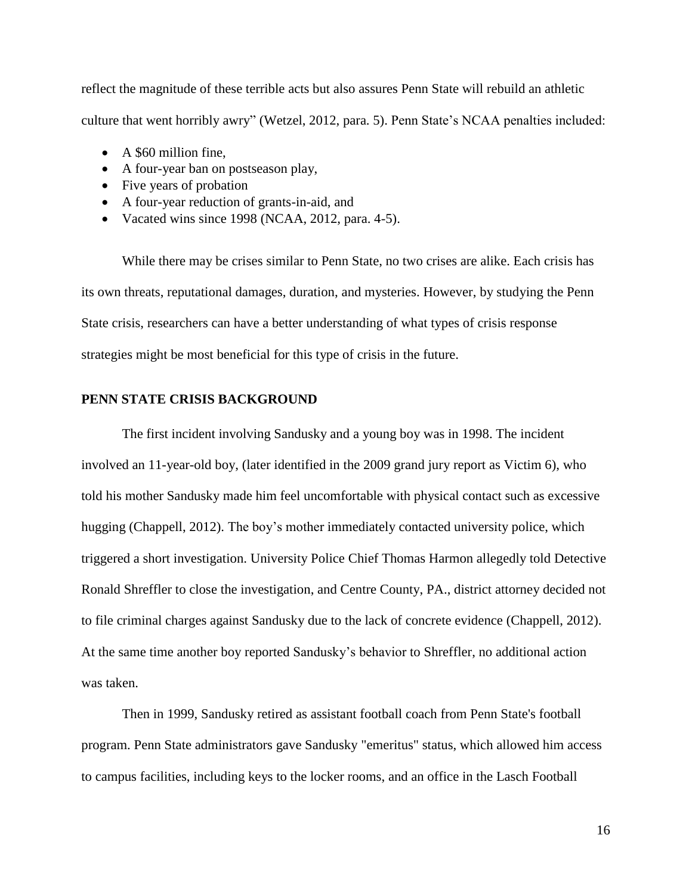reflect the magnitude of these terrible acts but also assures Penn State will rebuild an athletic culture that went horribly awry" (Wetzel, 2012, para. 5). Penn State's NCAA penalties included:

- A \$60 million fine.
- A four-year ban on postseason play,
- Five years of probation
- A four-year reduction of grants-in-aid, and
- Vacated wins since 1998 (NCAA,  $2012$ , para. 4-5).

While there may be crises similar to Penn State, no two crises are alike. Each crisis has its own threats, reputational damages, duration, and mysteries. However, by studying the Penn State crisis, researchers can have a better understanding of what types of crisis response strategies might be most beneficial for this type of crisis in the future.

## **PENN STATE CRISIS BACKGROUND**

The first incident involving Sandusky and a young boy was in 1998. The incident involved an 11-year-old boy, (later identified in the 2009 grand jury report as Victim 6), who told his mother Sandusky made him feel uncomfortable with physical contact such as excessive hugging (Chappell, 2012). The boy's mother immediately contacted university police, which triggered a short investigation. University Police Chief Thomas Harmon allegedly told Detective Ronald Shreffler to close the investigation, and Centre County, PA., district attorney decided not to file criminal charges against Sandusky due to the lack of concrete evidence (Chappell, 2012). At the same time another boy reported Sandusky's behavior to Shreffler, no additional action was taken.

Then in 1999, Sandusky retired as assistant football coach from Penn State's football program. Penn State administrators gave Sandusky "emeritus" status, which allowed him access to campus facilities, including keys to the locker rooms, and an office in the Lasch Football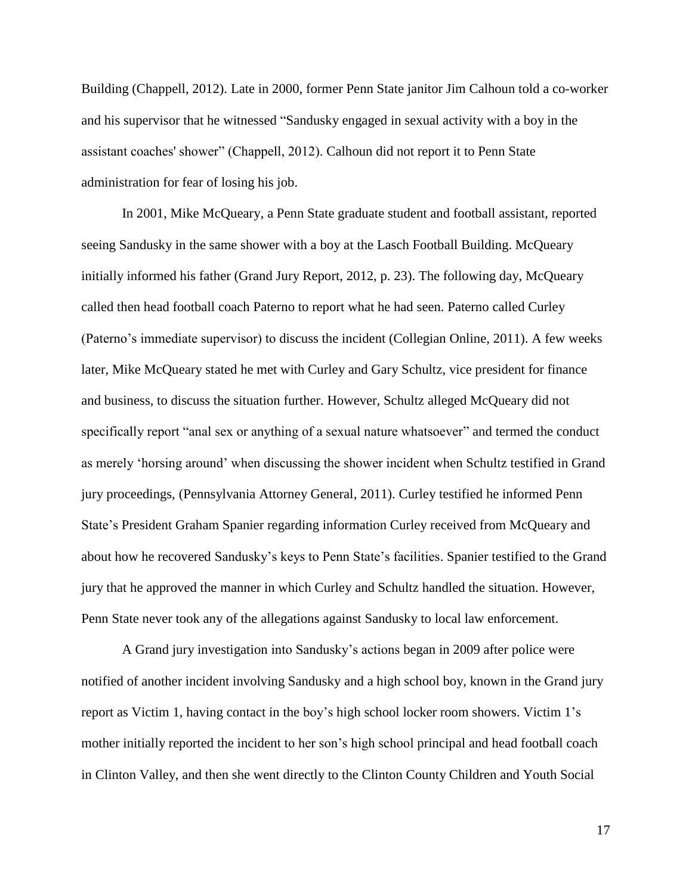Building (Chappell, 2012). Late in 2000, former Penn State janitor Jim Calhoun told a co-worker and his supervisor that he witnessed "Sandusky engaged in sexual activity with a boy in the assistant coaches' shower" (Chappell, 2012). Calhoun did not report it to Penn State administration for fear of losing his job.

In 2001, Mike McQueary, a Penn State graduate student and football assistant, reported seeing Sandusky in the same shower with a boy at the Lasch Football Building. McQueary initially informed his father (Grand Jury Report, 2012, p. 23). The following day, McQueary called then head football coach Paterno to report what he had seen. Paterno called Curley (Paterno's immediate supervisor) to discuss the incident (Collegian Online, 2011). A few weeks later, Mike McQueary stated he met with Curley and Gary Schultz, vice president for finance and business, to discuss the situation further. However, Schultz alleged McQueary did not specifically report "anal sex or anything of a sexual nature whatsoever" and termed the conduct as merely 'horsing around' when discussing the shower incident when Schultz testified in Grand jury proceedings, (Pennsylvania Attorney General, 2011). Curley testified he informed Penn State's President Graham Spanier regarding information Curley received from McQueary and about how he recovered Sandusky's keys to Penn State's facilities. Spanier testified to the Grand jury that he approved the manner in which Curley and Schultz handled the situation. However, Penn State never took any of the allegations against Sandusky to local law enforcement.

A Grand jury investigation into Sandusky's actions began in 2009 after police were notified of another incident involving Sandusky and a high school boy, known in the Grand jury report as Victim 1, having contact in the boy's high school locker room showers. Victim 1's mother initially reported the incident to her son's high school principal and head football coach in Clinton Valley, and then she went directly to the Clinton County Children and Youth Social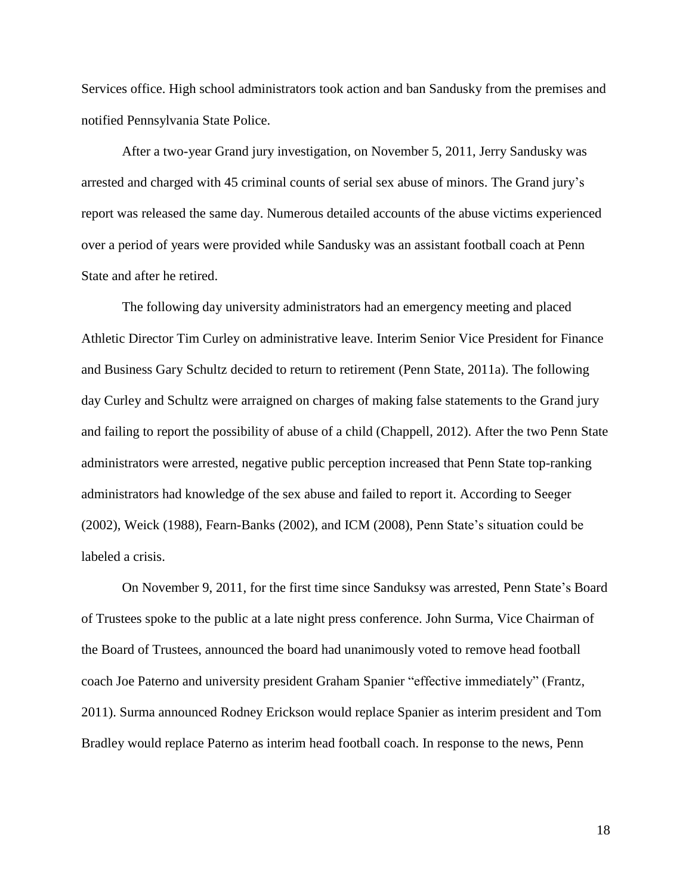Services office. High school administrators took action and ban Sandusky from the premises and notified Pennsylvania State Police.

After a two-year Grand jury investigation, on November 5, 2011, Jerry Sandusky was arrested and charged with 45 criminal counts of serial sex abuse of minors. The Grand jury's report was released the same day. Numerous detailed accounts of the abuse victims experienced over a period of years were provided while Sandusky was an assistant football coach at Penn State and after he retired.

The following day university administrators had an emergency meeting and placed Athletic Director Tim Curley on administrative leave. Interim Senior Vice President for Finance and Business Gary Schultz decided to return to retirement (Penn State, 2011a). The following day Curley and Schultz were arraigned on charges of making false statements to the Grand jury and failing to report the possibility of abuse of a child (Chappell, 2012). After the two Penn State administrators were arrested, negative public perception increased that Penn State top-ranking administrators had knowledge of the sex abuse and failed to report it. According to Seeger (2002), Weick (1988), Fearn-Banks (2002), and ICM (2008), Penn State's situation could be labeled a crisis.

On November 9, 2011, for the first time since Sanduksy was arrested, Penn State's Board of Trustees spoke to the public at a late night press conference. John Surma, Vice Chairman of the Board of Trustees, announced the board had unanimously voted to remove head football coach Joe Paterno and university president Graham Spanier "effective immediately" (Frantz, 2011). Surma announced Rodney Erickson would replace Spanier as interim president and Tom Bradley would replace Paterno as interim head football coach. In response to the news, Penn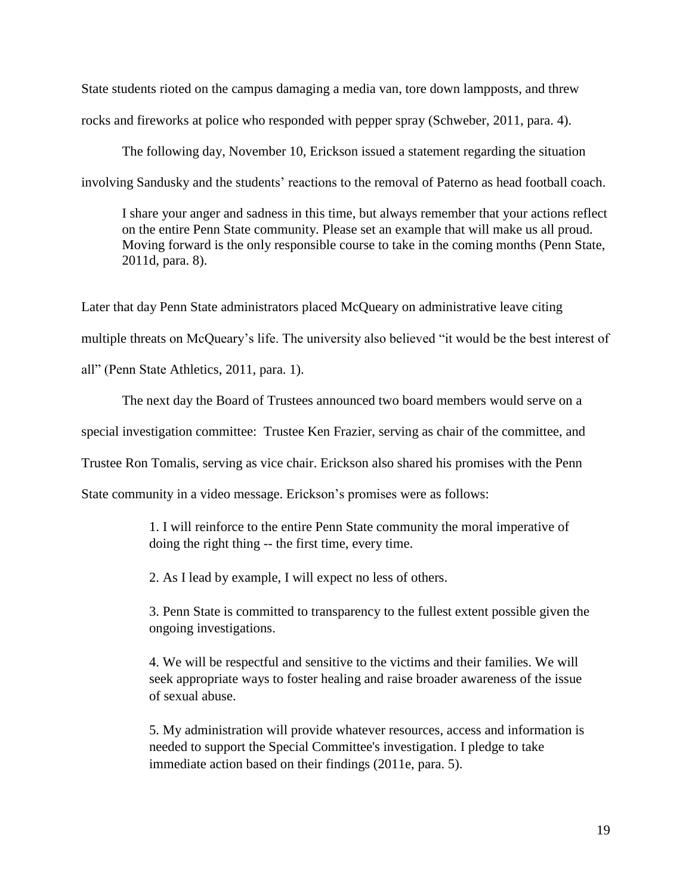State students rioted on the campus damaging a media van, tore down lampposts, and threw rocks and fireworks at police who responded with pepper spray (Schweber, 2011, para. 4).

The following day, November 10, Erickson issued a statement regarding the situation involving Sandusky and the students' reactions to the removal of Paterno as head football coach.

I share your anger and sadness in this time, but always remember that your actions reflect on the entire Penn State community. Please set an example that will make us all proud. Moving forward is the only responsible course to take in the coming months (Penn State, 2011d, para. 8).

Later that day Penn State administrators placed McQueary on administrative leave citing multiple threats on McQueary's life. The university also believed "it would be the best interest of all" (Penn State Athletics, 2011, para. 1).

The next day the Board of Trustees announced two board members would serve on a special investigation committee: Trustee Ken Frazier, serving as chair of the committee, and Trustee Ron Tomalis, serving as vice chair. Erickson also shared his promises with the Penn

State community in a video message. Erickson's promises were as follows:

1. I will reinforce to the entire Penn State community the moral imperative of doing the right thing -- the first time, every time.

2. As I lead by example, I will expect no less of others.

3. Penn State is committed to transparency to the fullest extent possible given the ongoing investigations.

4. We will be respectful and sensitive to the victims and their families. We will seek appropriate ways to foster healing and raise broader awareness of the issue of sexual abuse.

5. My administration will provide whatever resources, access and information is needed to support the Special Committee's investigation. I pledge to take immediate action based on their findings (2011e, para. 5).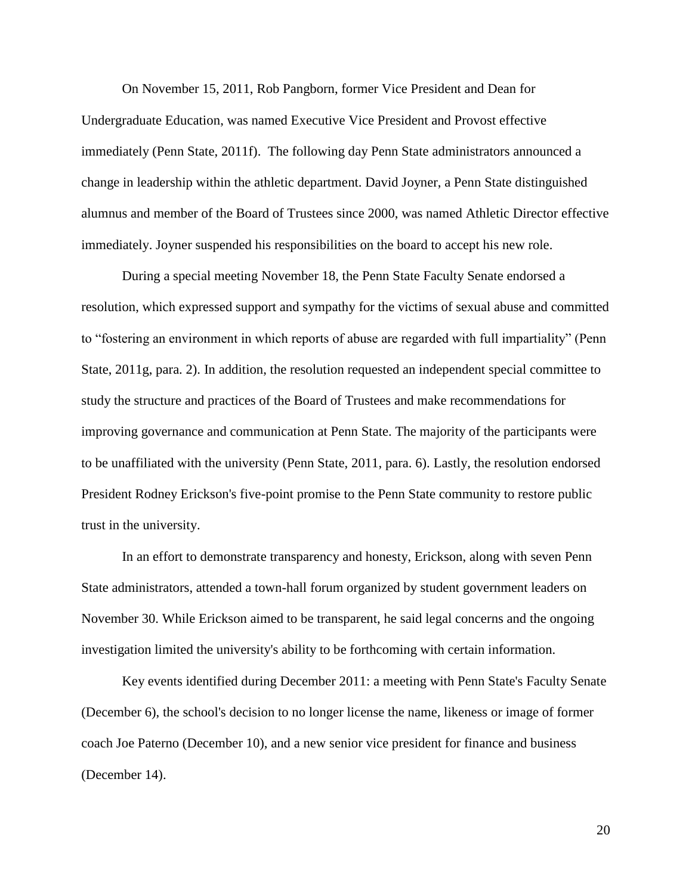On November 15, 2011, Rob Pangborn, former Vice President and Dean for Undergraduate Education, was named Executive Vice President and Provost effective immediately (Penn State, 2011f). The following day Penn State administrators announced a change in leadership within the athletic department. David Joyner, a Penn State distinguished alumnus and member of the Board of Trustees since 2000, was named Athletic Director effective immediately. Joyner suspended his responsibilities on the board to accept his new role.

During a special meeting November 18, the Penn State Faculty Senate endorsed a resolution, which expressed support and sympathy for the victims of sexual abuse and committed to "fostering an environment in which reports of abuse are regarded with full impartiality" (Penn State, 2011g, para. 2). In addition, the resolution requested an independent special committee to study the structure and practices of the Board of Trustees and make recommendations for improving governance and communication at Penn State. The majority of the participants were to be unaffiliated with the university (Penn State, 2011, para. 6). Lastly, the resolution endorsed President Rodney Erickson's five-point promise to the Penn State community to restore public trust in the university.

In an effort to demonstrate transparency and honesty, Erickson, along with seven Penn State administrators, attended a town-hall forum organized by student government leaders on November 30. While Erickson aimed to be transparent, he said legal concerns and the ongoing investigation limited the university's ability to be forthcoming with certain information.

Key events identified during December 2011: a meeting with Penn State's Faculty Senate (December 6), the school's decision to no longer license the name, likeness or image of former coach Joe Paterno (December 10), and a new senior vice president for finance and business (December 14).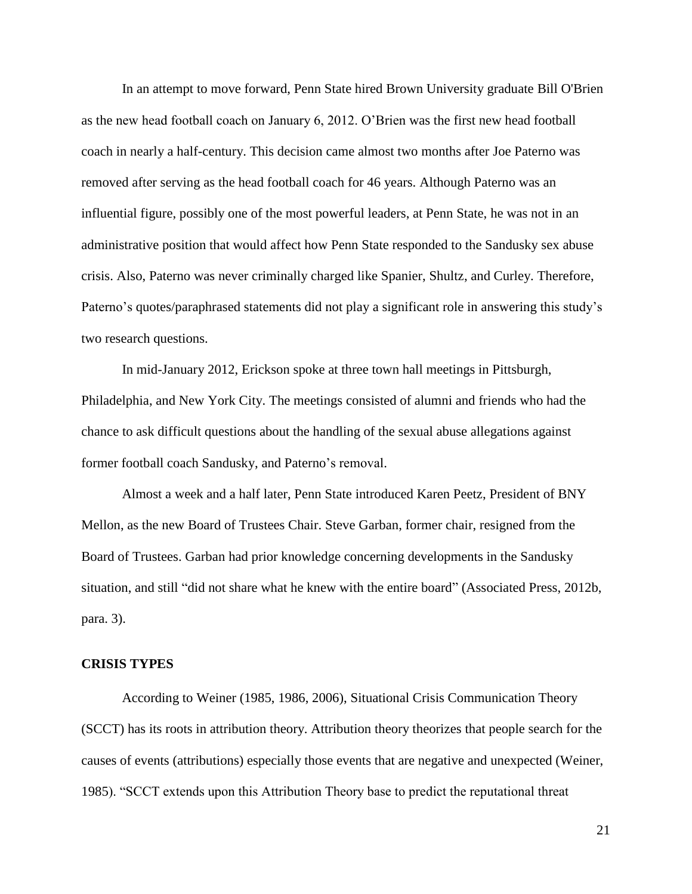In an attempt to move forward, Penn State hired Brown University graduate Bill O'Brien as the new head football coach on January 6, 2012. O'Brien was the first new head football coach in nearly a half-century. This decision came almost two months after Joe Paterno was removed after serving as the head football coach for 46 years. Although Paterno was an influential figure, possibly one of the most powerful leaders, at Penn State, he was not in an administrative position that would affect how Penn State responded to the Sandusky sex abuse crisis. Also, Paterno was never criminally charged like Spanier, Shultz, and Curley. Therefore, Paterno's quotes/paraphrased statements did not play a significant role in answering this study's two research questions.

In mid-January 2012, Erickson spoke at three town hall meetings in Pittsburgh, Philadelphia, and New York City. The meetings consisted of alumni and friends who had the chance to ask difficult questions about the handling of the sexual abuse allegations against former football coach Sandusky, and Paterno's removal.

Almost a week and a half later, Penn State introduced Karen Peetz, President of BNY Mellon, as the new Board of Trustees Chair. Steve Garban, former chair, resigned from the Board of Trustees. Garban had prior knowledge concerning developments in the Sandusky situation, and still "did not share what he knew with the entire board" (Associated Press, 2012b, para. 3).

#### **CRISIS TYPES**

According to Weiner (1985, 1986, 2006), Situational Crisis Communication Theory (SCCT) has its roots in attribution theory. Attribution theory theorizes that people search for the causes of events (attributions) especially those events that are negative and unexpected (Weiner, 1985). "SCCT extends upon this Attribution Theory base to predict the reputational threat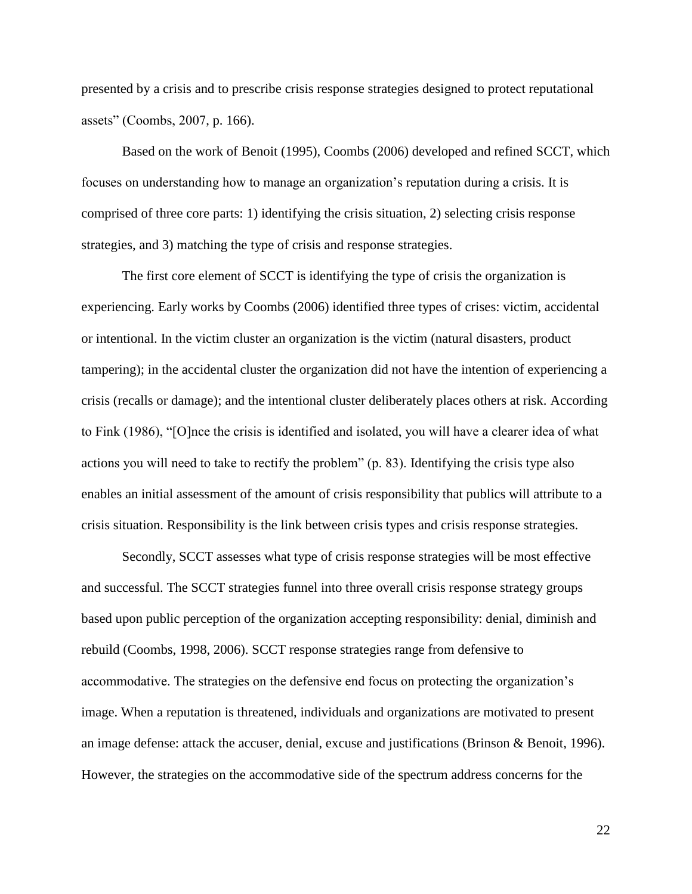presented by a crisis and to prescribe crisis response strategies designed to protect reputational assets" (Coombs, 2007, p. 166).

Based on the work of Benoit (1995), Coombs (2006) developed and refined SCCT, which focuses on understanding how to manage an organization's reputation during a crisis. It is comprised of three core parts: 1) identifying the crisis situation, 2) selecting crisis response strategies, and 3) matching the type of crisis and response strategies.

The first core element of SCCT is identifying the type of crisis the organization is experiencing. Early works by Coombs (2006) identified three types of crises: victim, accidental or intentional. In the victim cluster an organization is the victim (natural disasters, product tampering); in the accidental cluster the organization did not have the intention of experiencing a crisis (recalls or damage); and the intentional cluster deliberately places others at risk. According to Fink (1986), "[O]nce the crisis is identified and isolated, you will have a clearer idea of what actions you will need to take to rectify the problem" (p. 83). Identifying the crisis type also enables an initial assessment of the amount of crisis responsibility that publics will attribute to a crisis situation. Responsibility is the link between crisis types and crisis response strategies.

Secondly, SCCT assesses what type of crisis response strategies will be most effective and successful. The SCCT strategies funnel into three overall crisis response strategy groups based upon public perception of the organization accepting responsibility: denial, diminish and rebuild (Coombs, 1998, 2006). SCCT response strategies range from defensive to accommodative. The strategies on the defensive end focus on protecting the organization's image. When a reputation is threatened, individuals and organizations are motivated to present an image defense: attack the accuser, denial, excuse and justifications (Brinson & Benoit, 1996). However, the strategies on the accommodative side of the spectrum address concerns for the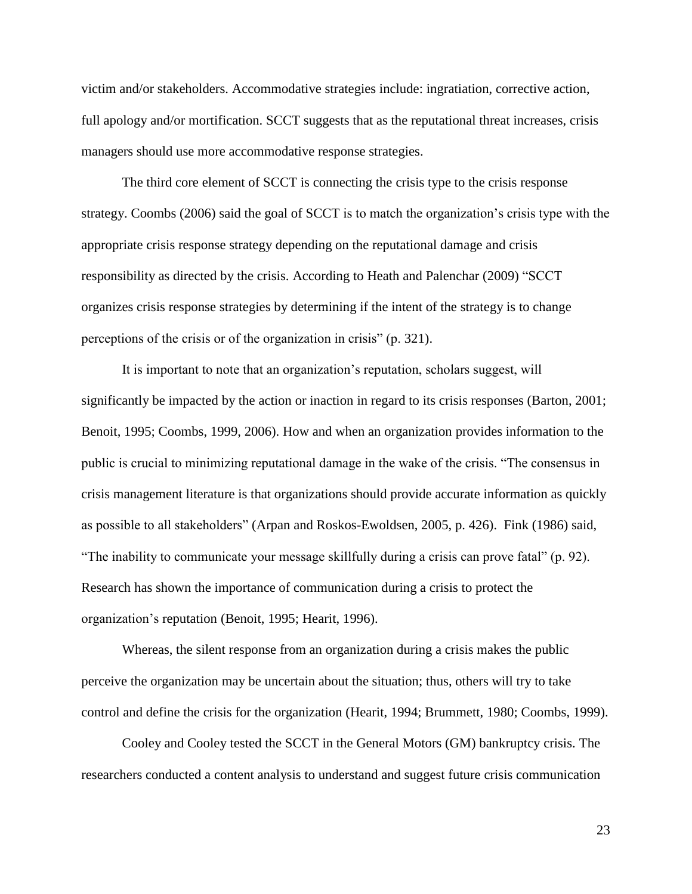victim and/or stakeholders. Accommodative strategies include: ingratiation, corrective action, full apology and/or mortification. SCCT suggests that as the reputational threat increases, crisis managers should use more accommodative response strategies.

The third core element of SCCT is connecting the crisis type to the crisis response strategy. Coombs (2006) said the goal of SCCT is to match the organization's crisis type with the appropriate crisis response strategy depending on the reputational damage and crisis responsibility as directed by the crisis. According to Heath and Palenchar (2009) "SCCT organizes crisis response strategies by determining if the intent of the strategy is to change perceptions of the crisis or of the organization in crisis" (p. 321).

It is important to note that an organization's reputation, scholars suggest, will significantly be impacted by the action or inaction in regard to its crisis responses (Barton, 2001; Benoit, 1995; Coombs, 1999, 2006). How and when an organization provides information to the public is crucial to minimizing reputational damage in the wake of the crisis. "The consensus in crisis management literature is that organizations should provide accurate information as quickly as possible to all stakeholders" (Arpan and Roskos-Ewoldsen, 2005, p. 426). Fink (1986) said, "The inability to communicate your message skillfully during a crisis can prove fatal" (p. 92). Research has shown the importance of communication during a crisis to protect the organization's reputation (Benoit, 1995; Hearit, 1996).

Whereas, the silent response from an organization during a crisis makes the public perceive the organization may be uncertain about the situation; thus, others will try to take control and define the crisis for the organization (Hearit, 1994; Brummett, 1980; Coombs, 1999).

Cooley and Cooley tested the SCCT in the General Motors (GM) bankruptcy crisis. The researchers conducted a content analysis to understand and suggest future crisis communication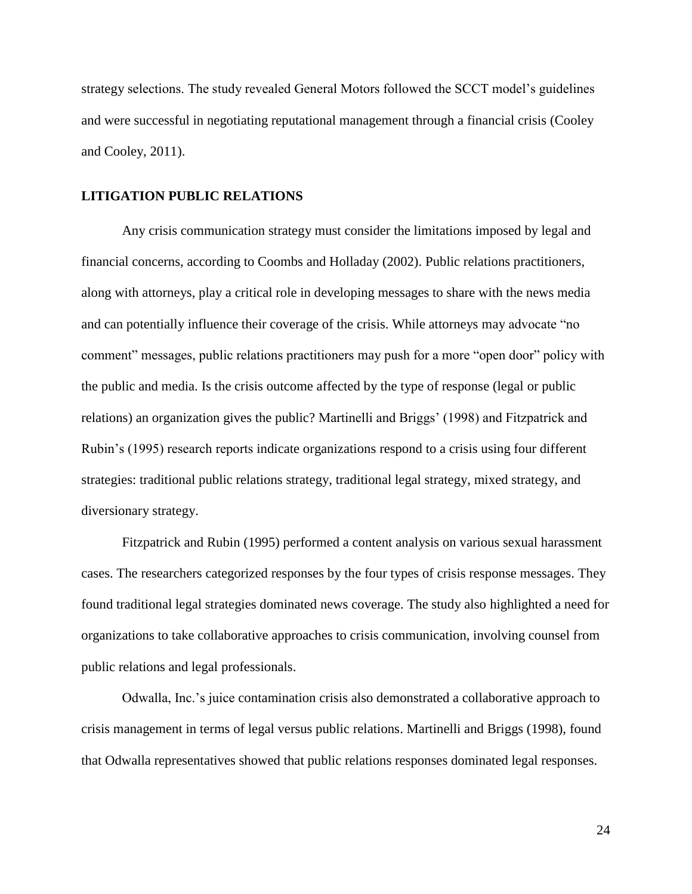strategy selections. The study revealed General Motors followed the SCCT model's guidelines and were successful in negotiating reputational management through a financial crisis (Cooley and Cooley, 2011).

#### **LITIGATION PUBLIC RELATIONS**

Any crisis communication strategy must consider the limitations imposed by legal and financial concerns, according to Coombs and Holladay (2002). Public relations practitioners, along with attorneys, play a critical role in developing messages to share with the news media and can potentially influence their coverage of the crisis. While attorneys may advocate "no comment" messages, public relations practitioners may push for a more "open door" policy with the public and media. Is the crisis outcome affected by the type of response (legal or public relations) an organization gives the public? Martinelli and Briggs' (1998) and Fitzpatrick and Rubin's (1995) research reports indicate organizations respond to a crisis using four different strategies: traditional public relations strategy, traditional legal strategy, mixed strategy, and diversionary strategy.

Fitzpatrick and Rubin (1995) performed a content analysis on various sexual harassment cases. The researchers categorized responses by the four types of crisis response messages. They found traditional legal strategies dominated news coverage. The study also highlighted a need for organizations to take collaborative approaches to crisis communication, involving counsel from public relations and legal professionals.

Odwalla, Inc.'s juice contamination crisis also demonstrated a collaborative approach to crisis management in terms of legal versus public relations. Martinelli and Briggs (1998), found that Odwalla representatives showed that public relations responses dominated legal responses.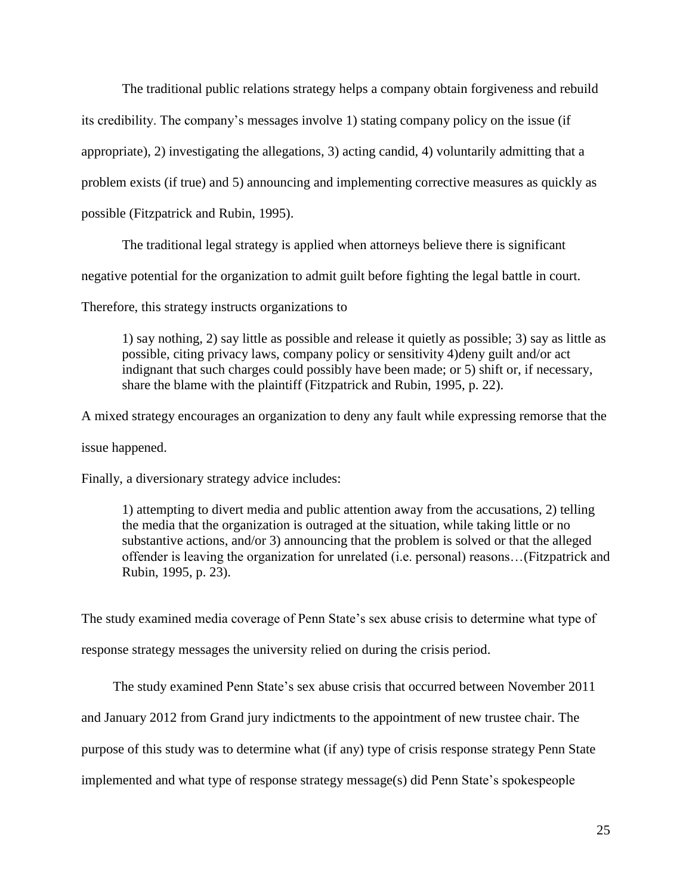The traditional public relations strategy helps a company obtain forgiveness and rebuild

its credibility. The company's messages involve 1) stating company policy on the issue (if

appropriate), 2) investigating the allegations, 3) acting candid, 4) voluntarily admitting that a

problem exists (if true) and 5) announcing and implementing corrective measures as quickly as

possible (Fitzpatrick and Rubin, 1995).

The traditional legal strategy is applied when attorneys believe there is significant

negative potential for the organization to admit guilt before fighting the legal battle in court.

Therefore, this strategy instructs organizations to

1) say nothing, 2) say little as possible and release it quietly as possible; 3) say as little as possible, citing privacy laws, company policy or sensitivity 4)deny guilt and/or act indignant that such charges could possibly have been made; or 5) shift or, if necessary, share the blame with the plaintiff (Fitzpatrick and Rubin, 1995, p. 22).

A mixed strategy encourages an organization to deny any fault while expressing remorse that the

issue happened.

Finally, a diversionary strategy advice includes:

1) attempting to divert media and public attention away from the accusations, 2) telling the media that the organization is outraged at the situation, while taking little or no substantive actions, and/or 3) announcing that the problem is solved or that the alleged offender is leaving the organization for unrelated (i.e. personal) reasons…(Fitzpatrick and Rubin, 1995, p. 23).

The study examined media coverage of Penn State's sex abuse crisis to determine what type of response strategy messages the university relied on during the crisis period.

The study examined Penn State's sex abuse crisis that occurred between November 2011 and January 2012 from Grand jury indictments to the appointment of new trustee chair. The purpose of this study was to determine what (if any) type of crisis response strategy Penn State implemented and what type of response strategy message(s) did Penn State's spokespeople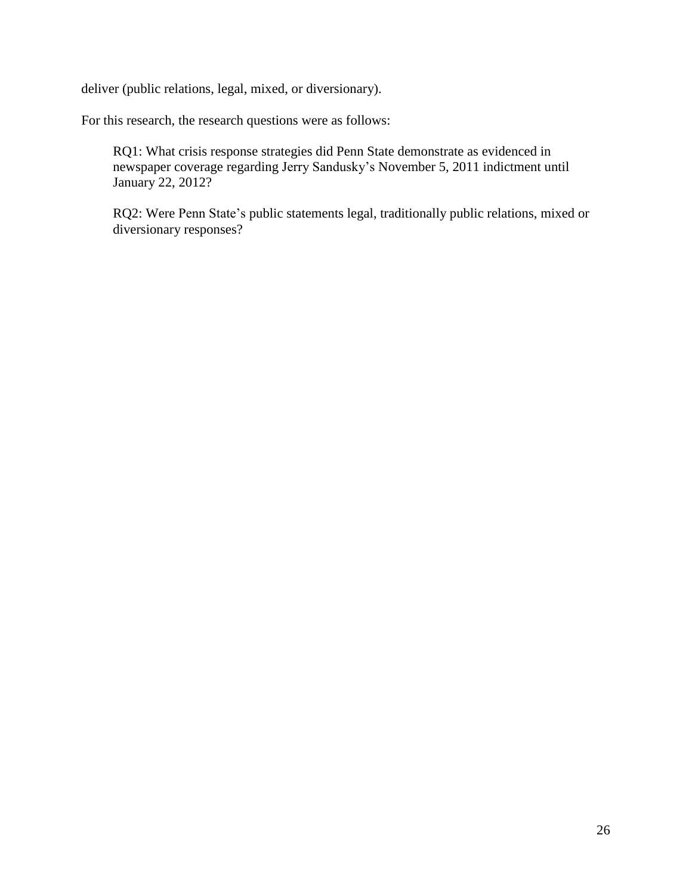deliver (public relations, legal, mixed, or diversionary).

For this research, the research questions were as follows:

RQ1: What crisis response strategies did Penn State demonstrate as evidenced in newspaper coverage regarding Jerry Sandusky's November 5, 2011 indictment until January 22, 2012?

RQ2: Were Penn State's public statements legal, traditionally public relations, mixed or diversionary responses?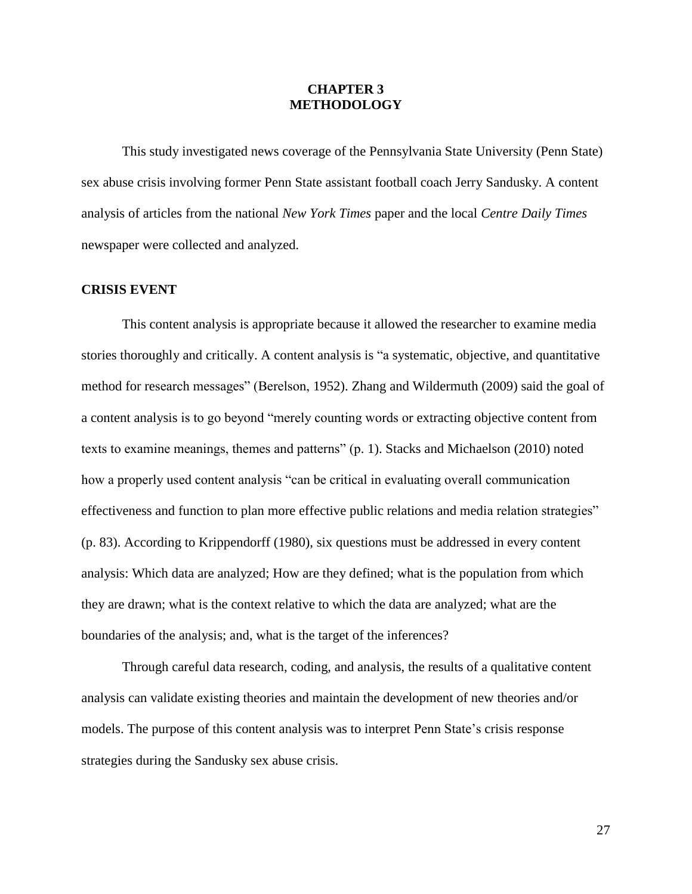## **CHAPTER 3 METHODOLOGY**

This study investigated news coverage of the Pennsylvania State University (Penn State) sex abuse crisis involving former Penn State assistant football coach Jerry Sandusky. A content analysis of articles from the national *New York Times* paper and the local *Centre Daily Times*  newspaper were collected and analyzed*.*

#### **CRISIS EVENT**

This content analysis is appropriate because it allowed the researcher to examine media stories thoroughly and critically. A content analysis is "a systematic, objective, and quantitative method for research messages" (Berelson, 1952). Zhang and Wildermuth (2009) said the goal of a content analysis is to go beyond "merely counting words or extracting objective content from texts to examine meanings, themes and patterns" (p. 1). Stacks and Michaelson (2010) noted how a properly used content analysis "can be critical in evaluating overall communication effectiveness and function to plan more effective public relations and media relation strategies" (p. 83). According to Krippendorff (1980), six questions must be addressed in every content analysis: Which data are analyzed; How are they defined; what is the population from which they are drawn; what is the context relative to which the data are analyzed; what are the boundaries of the analysis; and, what is the target of the inferences?

Through careful data research, coding, and analysis, the results of a qualitative content analysis can validate existing theories and maintain the development of new theories and/or models. The purpose of this content analysis was to interpret Penn State's crisis response strategies during the Sandusky sex abuse crisis.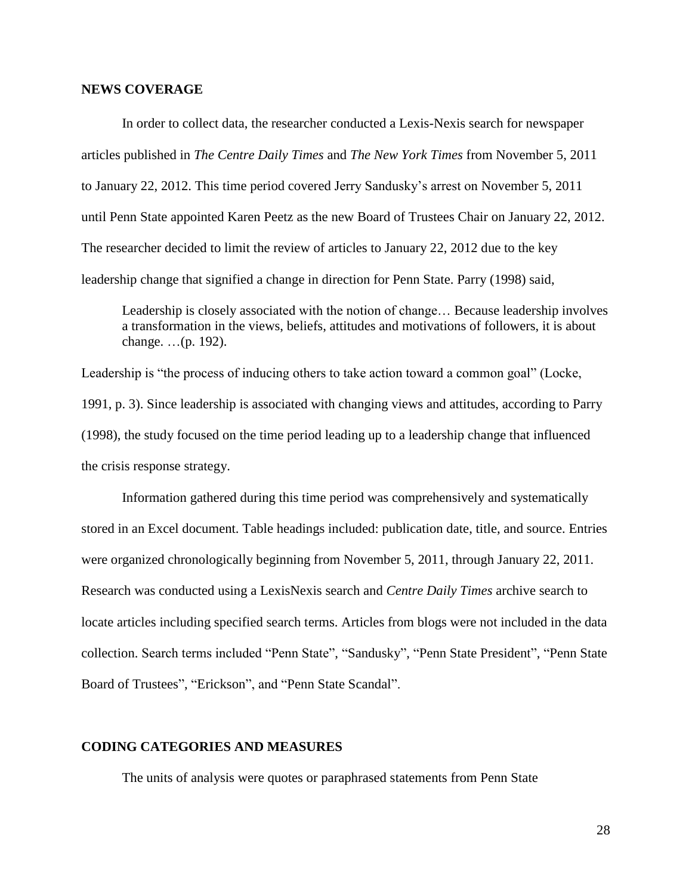#### **NEWS COVERAGE**

In order to collect data, the researcher conducted a Lexis-Nexis search for newspaper articles published in *The Centre Daily Times* and *The New York Times* from November 5, 2011 to January 22, 2012. This time period covered Jerry Sandusky's arrest on November 5, 2011 until Penn State appointed Karen Peetz as the new Board of Trustees Chair on January 22, 2012. The researcher decided to limit the review of articles to January 22, 2012 due to the key leadership change that signified a change in direction for Penn State. Parry (1998) said,

Leadership is closely associated with the notion of change… Because leadership involves a transformation in the views, beliefs, attitudes and motivations of followers, it is about change. …(p. 192).

Leadership is "the process of inducing others to take action toward a common goal" (Locke, 1991, p. 3). Since leadership is associated with changing views and attitudes, according to Parry (1998), the study focused on the time period leading up to a leadership change that influenced the crisis response strategy.

Information gathered during this time period was comprehensively and systematically stored in an Excel document. Table headings included: publication date, title, and source. Entries were organized chronologically beginning from November 5, 2011, through January 22, 2011. Research was conducted using a LexisNexis search and *Centre Daily Times* archive search to locate articles including specified search terms. Articles from blogs were not included in the data collection. Search terms included "Penn State", "Sandusky", "Penn State President", "Penn State Board of Trustees", "Erickson", and "Penn State Scandal".

## **CODING CATEGORIES AND MEASURES**

The units of analysis were quotes or paraphrased statements from Penn State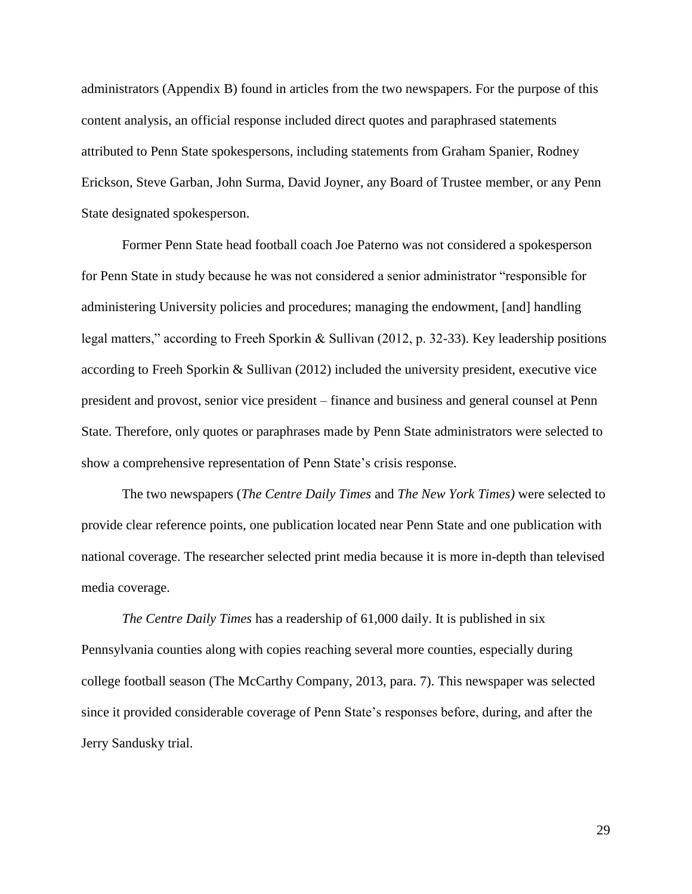administrators (Appendix B) found in articles from the two newspapers. For the purpose of this content analysis, an official response included direct quotes and paraphrased statements attributed to Penn State spokespersons, including statements from Graham Spanier, Rodney Erickson, Steve Garban, John Surma, David Joyner, any Board of Trustee member, or any Penn State designated spokesperson.

Former Penn State head football coach Joe Paterno was not considered a spokesperson for Penn State in study because he was not considered a senior administrator "responsible for administering University policies and procedures; managing the endowment, [and] handling legal matters," according to Freeh Sporkin & Sullivan (2012, p. 32-33). Key leadership positions according to Freeh Sporkin & Sullivan (2012) included the university president, executive vice president and provost, senior vice president – finance and business and general counsel at Penn State. Therefore, only quotes or paraphrases made by Penn State administrators were selected to show a comprehensive representation of Penn State's crisis response.

The two newspapers (*The Centre Daily Times* and *The New York Times)* were selected to provide clear reference points, one publication located near Penn State and one publication with national coverage. The researcher selected print media because it is more in-depth than televised media coverage.

*The Centre Daily Times* has a readership of 61,000 daily. It is published in six Pennsylvania counties along with copies reaching several more counties, especially during college football season (The McCarthy Company, 2013, para. 7). This newspaper was selected since it provided considerable coverage of Penn State's responses before, during, and after the Jerry Sandusky trial.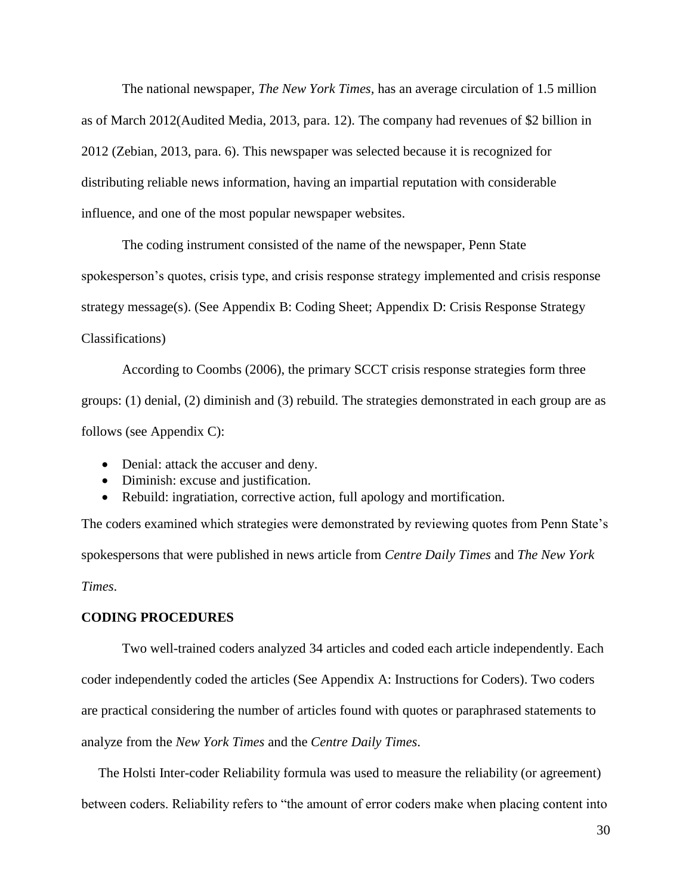The national newspaper, *The New York Times,* has an average circulation of 1.5 million as of March 2012(Audited Media, 2013, para. 12). The company had revenues of \$2 billion in 2012 (Zebian, 2013, para. 6). This newspaper was selected because it is recognized for distributing reliable news information, having an impartial reputation with considerable influence, and one of the most popular newspaper websites.

The coding instrument consisted of the name of the newspaper, Penn State spokesperson's quotes, crisis type, and crisis response strategy implemented and crisis response strategy message(s). (See Appendix B: Coding Sheet; Appendix D: Crisis Response Strategy Classifications)

According to Coombs (2006), the primary SCCT crisis response strategies form three groups: (1) denial, (2) diminish and (3) rebuild. The strategies demonstrated in each group are as follows (see Appendix C):

- Denial: attack the accuser and deny.
- Diminish: excuse and justification.
- Rebuild: ingratiation, corrective action, full apology and mortification.

The coders examined which strategies were demonstrated by reviewing quotes from Penn State's spokespersons that were published in news article from *Centre Daily Times* and *The New York Times*.

## **CODING PROCEDURES**

Two well-trained coders analyzed 34 articles and coded each article independently. Each coder independently coded the articles (See Appendix A: Instructions for Coders). Two coders are practical considering the number of articles found with quotes or paraphrased statements to analyze from the *New York Times* and the *Centre Daily Times*.

 The Holsti Inter-coder Reliability formula was used to measure the reliability (or agreement) between coders. Reliability refers to "the amount of error coders make when placing content into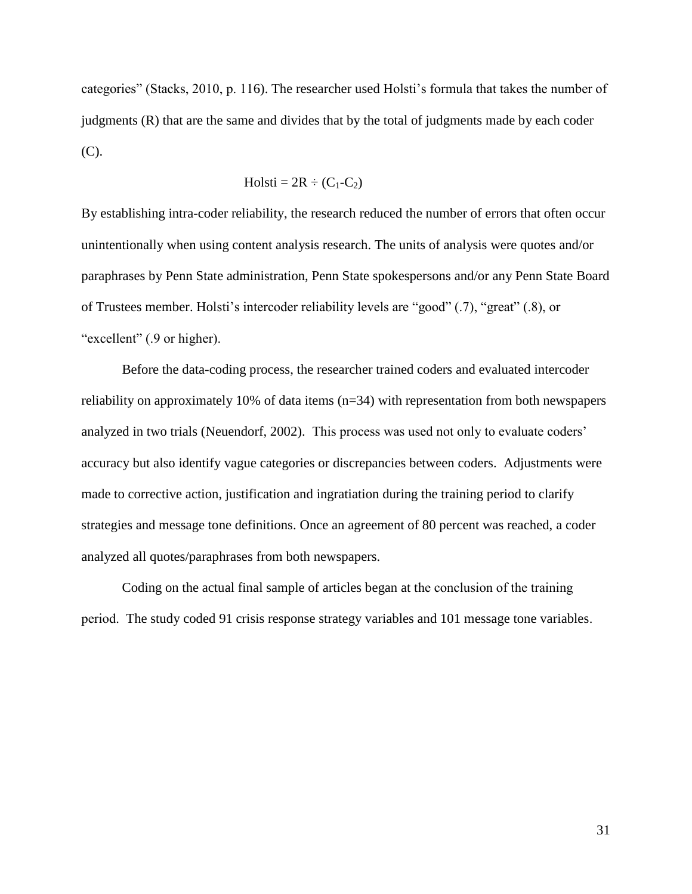categories" (Stacks, 2010, p. 116). The researcher used Holsti's formula that takes the number of judgments (R) that are the same and divides that by the total of judgments made by each coder (C).

$$
Holsti = 2R \div (C_1 - C_2)
$$

By establishing intra-coder reliability, the research reduced the number of errors that often occur unintentionally when using content analysis research. The units of analysis were quotes and/or paraphrases by Penn State administration, Penn State spokespersons and/or any Penn State Board of Trustees member. Holsti's intercoder reliability levels are "good" (.7), "great" (.8), or "excellent" (.9 or higher).

Before the data-coding process, the researcher trained coders and evaluated intercoder reliability on approximately 10% of data items (n=34) with representation from both newspapers analyzed in two trials (Neuendorf, 2002). This process was used not only to evaluate coders' accuracy but also identify vague categories or discrepancies between coders. Adjustments were made to corrective action, justification and ingratiation during the training period to clarify strategies and message tone definitions. Once an agreement of 80 percent was reached, a coder analyzed all quotes/paraphrases from both newspapers.

Coding on the actual final sample of articles began at the conclusion of the training period. The study coded 91 crisis response strategy variables and 101 message tone variables.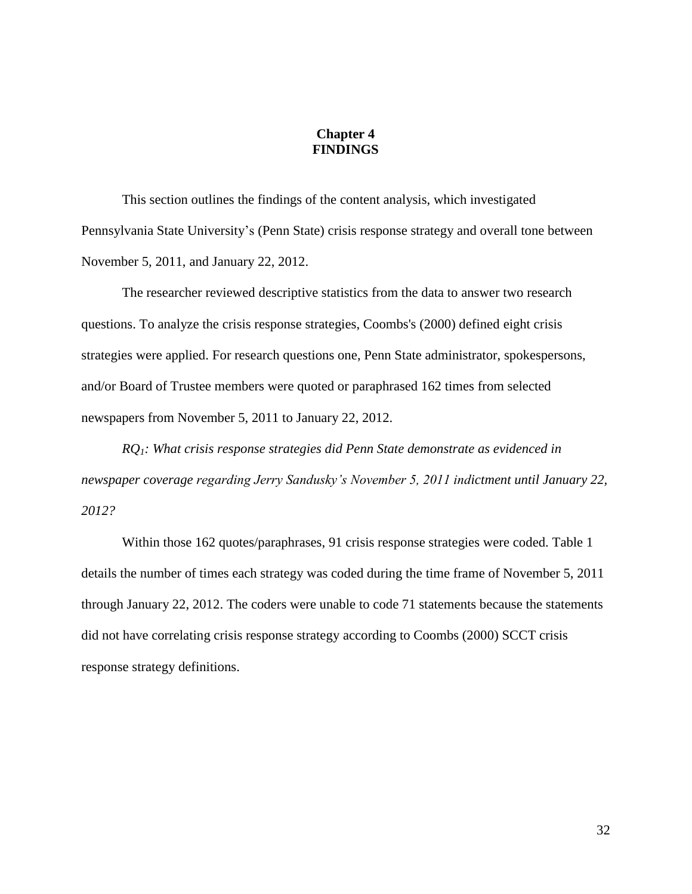## **Chapter 4 FINDINGS**

This section outlines the findings of the content analysis, which investigated Pennsylvania State University's (Penn State) crisis response strategy and overall tone between November 5, 2011, and January 22, 2012.

The researcher reviewed descriptive statistics from the data to answer two research questions. To analyze the crisis response strategies, Coombs's (2000) defined eight crisis strategies were applied. For research questions one, Penn State administrator, spokespersons, and/or Board of Trustee members were quoted or paraphrased 162 times from selected newspapers from November 5, 2011 to January 22, 2012.

*RQ1: What crisis response strategies did Penn State demonstrate as evidenced in newspaper coverage regarding Jerry Sandusky's November 5, 2011 indictment until January 22, 2012?*

Within those 162 quotes/paraphrases, 91 crisis response strategies were coded. Table 1 details the number of times each strategy was coded during the time frame of November 5, 2011 through January 22, 2012. The coders were unable to code 71 statements because the statements did not have correlating crisis response strategy according to Coombs (2000) SCCT crisis response strategy definitions.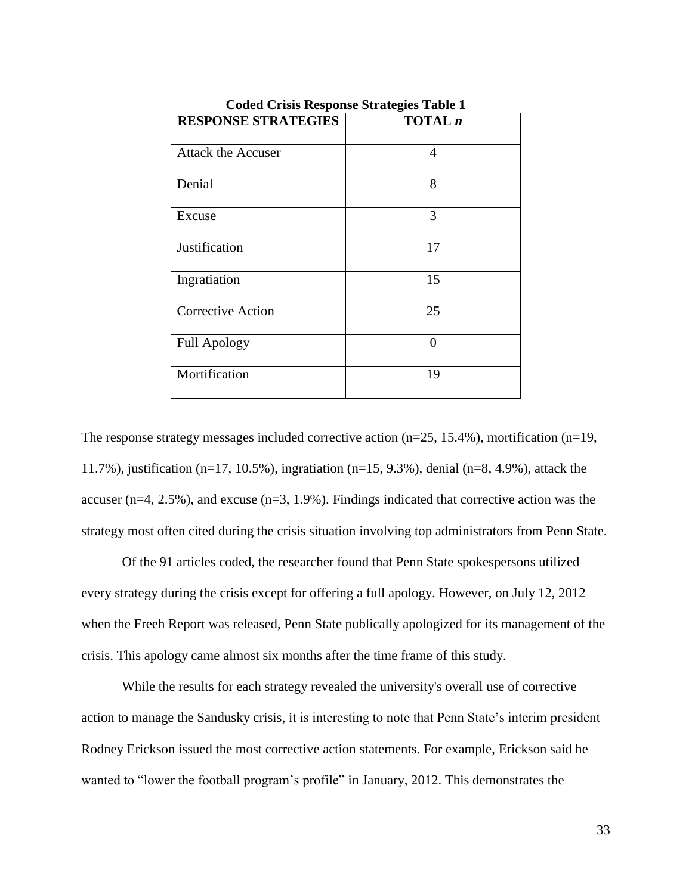| Couca Crisis Response Strategies Table 1 |          |  |
|------------------------------------------|----------|--|
| <b>RESPONSE STRATEGIES</b>               | TOTAL n  |  |
| <b>Attack the Accuser</b>                | 4        |  |
| Denial                                   | 8        |  |
| Excuse                                   | 3        |  |
| Justification                            | 17       |  |
| Ingratiation                             | 15       |  |
| <b>Corrective Action</b>                 | 25       |  |
| <b>Full Apology</b>                      | $\theta$ |  |
| Mortification                            | 19       |  |

**Coded Crisis Response Strategies Table 1**

The response strategy messages included corrective action  $(n=25, 15.4\%)$ , mortification  $(n=19, 10.6\%)$ 11.7%), justification (n=17, 10.5%), ingratiation (n=15, 9.3%), denial (n=8, 4.9%), attack the accuser (n=4, 2.5%), and excuse (n=3, 1.9%). Findings indicated that corrective action was the strategy most often cited during the crisis situation involving top administrators from Penn State.

Of the 91 articles coded, the researcher found that Penn State spokespersons utilized every strategy during the crisis except for offering a full apology. However, on July 12, 2012 when the Freeh Report was released, Penn State publically apologized for its management of the crisis. This apology came almost six months after the time frame of this study.

While the results for each strategy revealed the university's overall use of corrective action to manage the Sandusky crisis, it is interesting to note that Penn State's interim president Rodney Erickson issued the most corrective action statements. For example, Erickson said he wanted to "lower the football program's profile" in January, 2012. This demonstrates the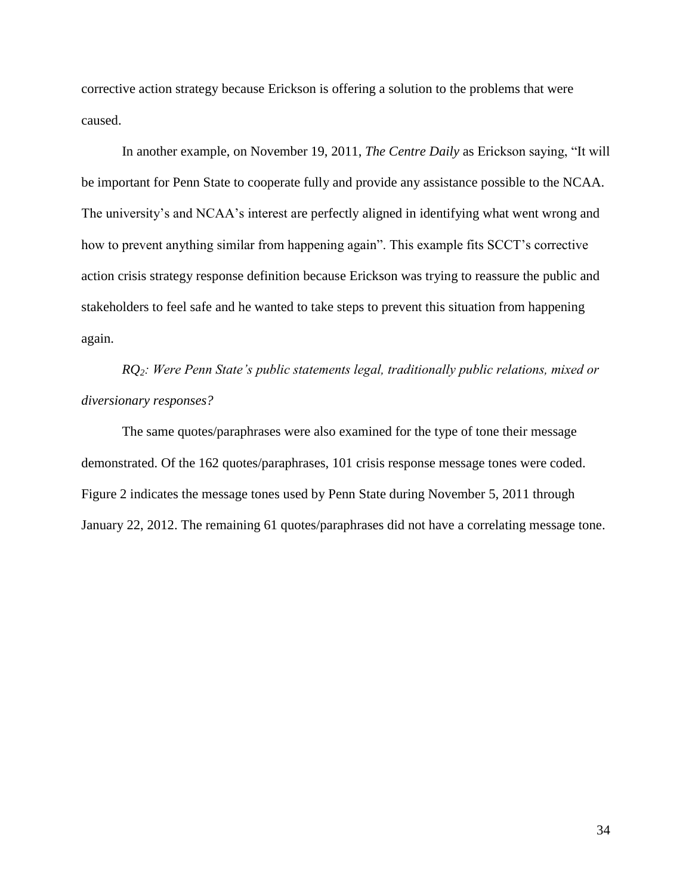corrective action strategy because Erickson is offering a solution to the problems that were caused.

In another example, on November 19, 2011, *The Centre Daily* as Erickson saying, "It will be important for Penn State to cooperate fully and provide any assistance possible to the NCAA. The university's and NCAA's interest are perfectly aligned in identifying what went wrong and how to prevent anything similar from happening again". This example fits SCCT's corrective action crisis strategy response definition because Erickson was trying to reassure the public and stakeholders to feel safe and he wanted to take steps to prevent this situation from happening again.

*RQ2: Were Penn State's public statements legal, traditionally public relations, mixed or diversionary responses?*

The same quotes/paraphrases were also examined for the type of tone their message demonstrated. Of the 162 quotes/paraphrases, 101 crisis response message tones were coded. Figure 2 indicates the message tones used by Penn State during November 5, 2011 through January 22, 2012. The remaining 61 quotes/paraphrases did not have a correlating message tone.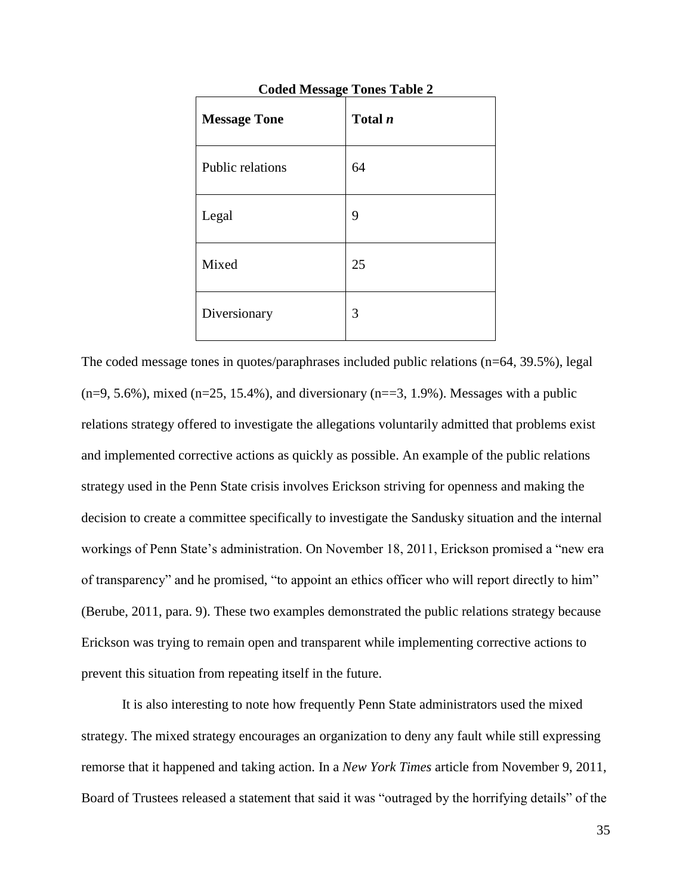| <b>Message Tone</b> | Total $n$ |
|---------------------|-----------|
| Public relations    | 64        |
| Legal               | 9         |
| Mixed               | 25        |
| Diversionary        | 3         |

**Coded Message Tones Table 2**

The coded message tones in quotes/paraphrases included public relations (n=64, 39.5%), legal  $(n=9, 5.6\%)$ , mixed  $(n=25, 15.4\%)$ , and diversionary  $(n=3, 1.9\%)$ . Messages with a public relations strategy offered to investigate the allegations voluntarily admitted that problems exist and implemented corrective actions as quickly as possible. An example of the public relations strategy used in the Penn State crisis involves Erickson striving for openness and making the decision to create a committee specifically to investigate the Sandusky situation and the internal workings of Penn State's administration. On November 18, 2011, Erickson promised a "new era of transparency" and he promised, "to appoint an ethics officer who will report directly to him" (Berube, 2011, para. 9). These two examples demonstrated the public relations strategy because Erickson was trying to remain open and transparent while implementing corrective actions to prevent this situation from repeating itself in the future.

It is also interesting to note how frequently Penn State administrators used the mixed strategy. The mixed strategy encourages an organization to deny any fault while still expressing remorse that it happened and taking action. In a *New York Times* article from November 9, 2011, Board of Trustees released a statement that said it was "outraged by the horrifying details" of the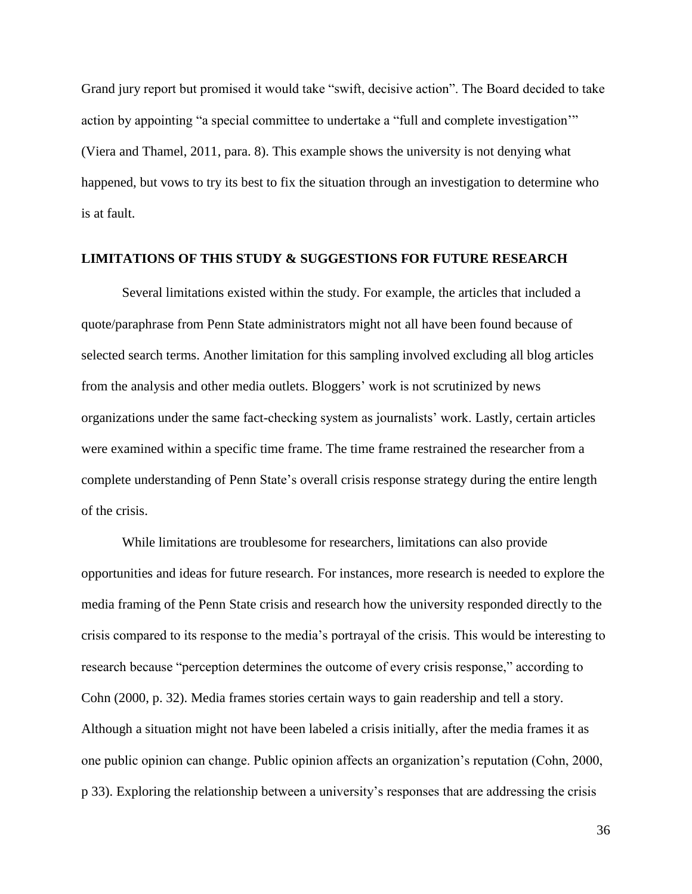Grand jury report but promised it would take "swift, decisive action". The Board decided to take action by appointing "a special committee to undertake a "full and complete investigation'" (Viera and Thamel, 2011, para. 8). This example shows the university is not denying what happened, but vows to try its best to fix the situation through an investigation to determine who is at fault.

#### **LIMITATIONS OF THIS STUDY & SUGGESTIONS FOR FUTURE RESEARCH**

Several limitations existed within the study. For example, the articles that included a quote/paraphrase from Penn State administrators might not all have been found because of selected search terms. Another limitation for this sampling involved excluding all blog articles from the analysis and other media outlets. Bloggers' work is not scrutinized by news organizations under the same fact-checking system as journalists' work. Lastly, certain articles were examined within a specific time frame. The time frame restrained the researcher from a complete understanding of Penn State's overall crisis response strategy during the entire length of the crisis.

While limitations are troublesome for researchers, limitations can also provide opportunities and ideas for future research. For instances, more research is needed to explore the media framing of the Penn State crisis and research how the university responded directly to the crisis compared to its response to the media's portrayal of the crisis. This would be interesting to research because "perception determines the outcome of every crisis response," according to Cohn (2000, p. 32). Media frames stories certain ways to gain readership and tell a story. Although a situation might not have been labeled a crisis initially, after the media frames it as one public opinion can change. Public opinion affects an organization's reputation (Cohn, 2000, p 33). Exploring the relationship between a university's responses that are addressing the crisis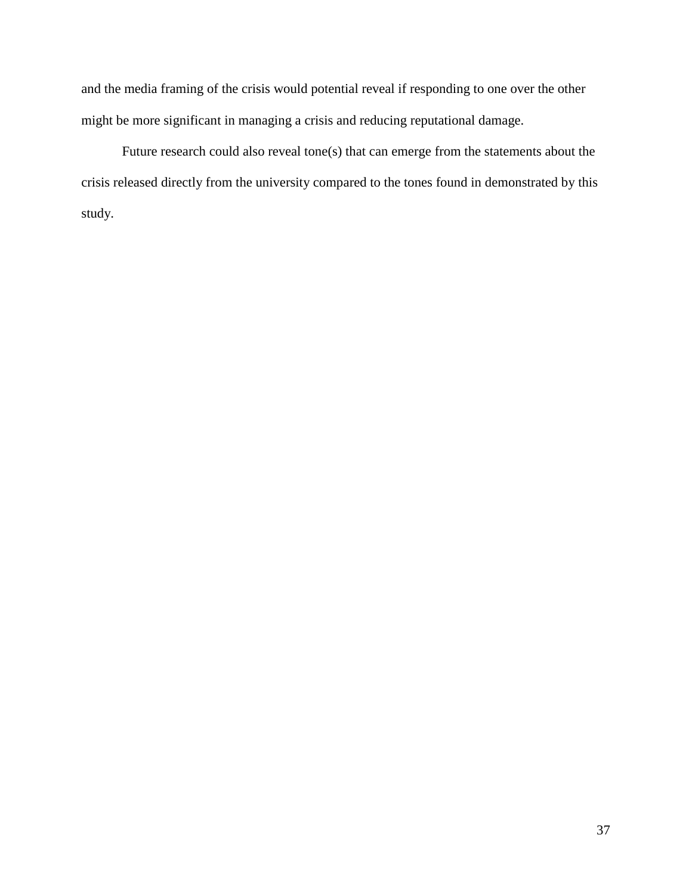and the media framing of the crisis would potential reveal if responding to one over the other might be more significant in managing a crisis and reducing reputational damage.

Future research could also reveal tone(s) that can emerge from the statements about the crisis released directly from the university compared to the tones found in demonstrated by this study.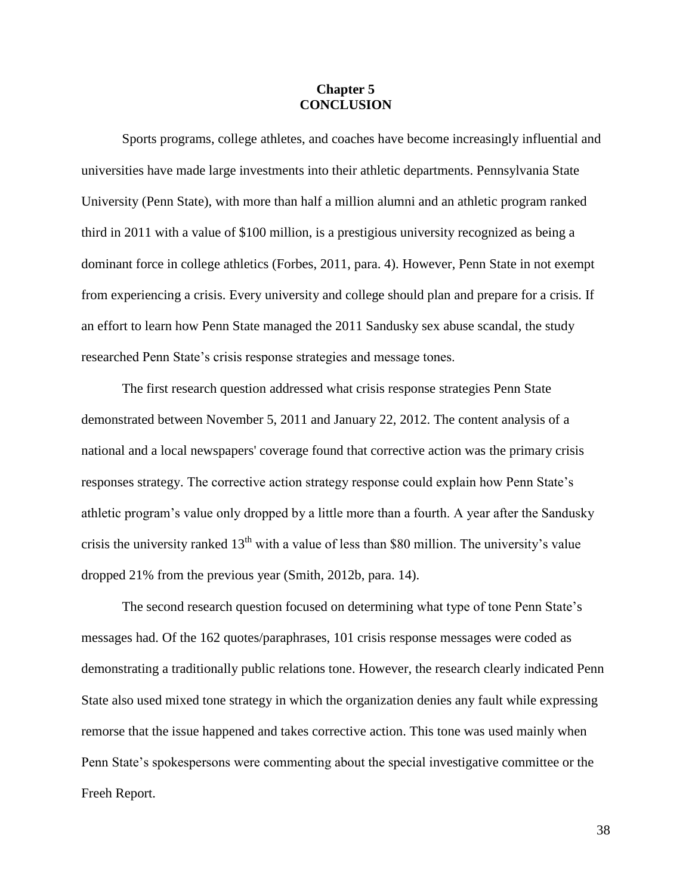### **Chapter 5 CONCLUSION**

Sports programs, college athletes, and coaches have become increasingly influential and universities have made large investments into their athletic departments. Pennsylvania State University (Penn State), with more than half a million alumni and an athletic program ranked third in 2011 with a value of \$100 million, is a prestigious university recognized as being a dominant force in college athletics (Forbes, 2011, para. 4). However, Penn State in not exempt from experiencing a crisis. Every university and college should plan and prepare for a crisis. If an effort to learn how Penn State managed the 2011 Sandusky sex abuse scandal, the study researched Penn State's crisis response strategies and message tones.

The first research question addressed what crisis response strategies Penn State demonstrated between November 5, 2011 and January 22, 2012. The content analysis of a national and a local newspapers' coverage found that corrective action was the primary crisis responses strategy. The corrective action strategy response could explain how Penn State's athletic program's value only dropped by a little more than a fourth. A year after the Sandusky crisis the university ranked  $13<sup>th</sup>$  with a value of less than \$80 million. The university's value dropped 21% from the previous year (Smith, 2012b, para. 14).

The second research question focused on determining what type of tone Penn State's messages had. Of the 162 quotes/paraphrases, 101 crisis response messages were coded as demonstrating a traditionally public relations tone. However, the research clearly indicated Penn State also used mixed tone strategy in which the organization denies any fault while expressing remorse that the issue happened and takes corrective action. This tone was used mainly when Penn State's spokespersons were commenting about the special investigative committee or the Freeh Report.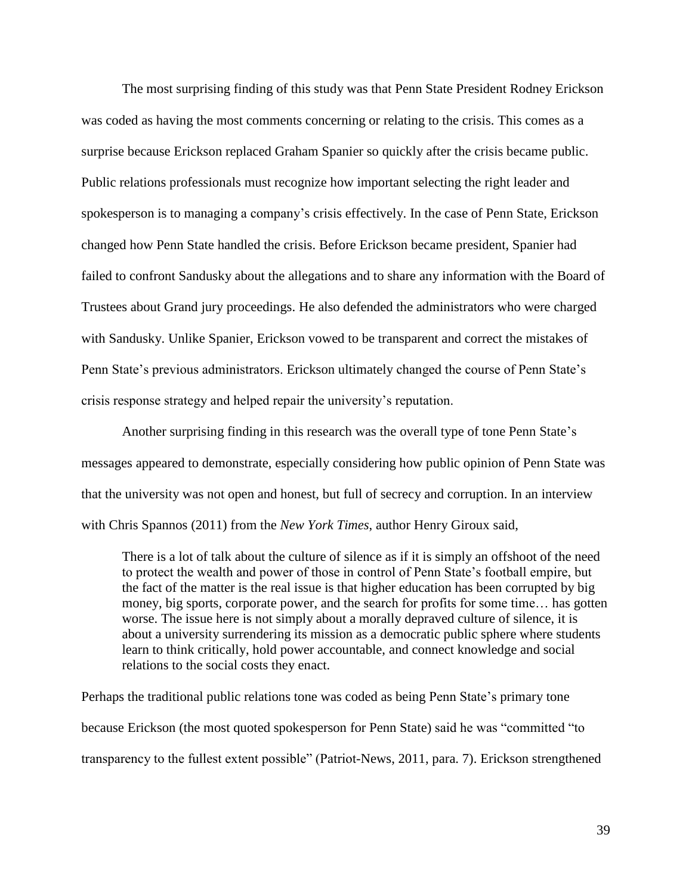The most surprising finding of this study was that Penn State President Rodney Erickson was coded as having the most comments concerning or relating to the crisis. This comes as a surprise because Erickson replaced Graham Spanier so quickly after the crisis became public. Public relations professionals must recognize how important selecting the right leader and spokesperson is to managing a company's crisis effectively. In the case of Penn State, Erickson changed how Penn State handled the crisis. Before Erickson became president, Spanier had failed to confront Sandusky about the allegations and to share any information with the Board of Trustees about Grand jury proceedings. He also defended the administrators who were charged with Sandusky. Unlike Spanier, Erickson vowed to be transparent and correct the mistakes of Penn State's previous administrators. Erickson ultimately changed the course of Penn State's crisis response strategy and helped repair the university's reputation.

Another surprising finding in this research was the overall type of tone Penn State's messages appeared to demonstrate, especially considering how public opinion of Penn State was that the university was not open and honest, but full of secrecy and corruption. In an interview with Chris Spannos (2011) from the *New York Times*, author Henry Giroux said,

There is a lot of talk about the culture of silence as if it is simply an offshoot of the need to protect the wealth and power of those in control of Penn State's football empire, but the fact of the matter is the real issue is that higher education has been corrupted by big money, big sports, corporate power, and the search for profits for some time… has gotten worse. The issue here is not simply about a morally depraved culture of silence, it is about a university surrendering its mission as a democratic public sphere where students learn to think critically, hold power accountable, and connect knowledge and social relations to the social costs they enact.

Perhaps the traditional public relations tone was coded as being Penn State's primary tone because Erickson (the most quoted spokesperson for Penn State) said he was "committed "to transparency to the fullest extent possible" (Patriot-News, 2011, para. 7). Erickson strengthened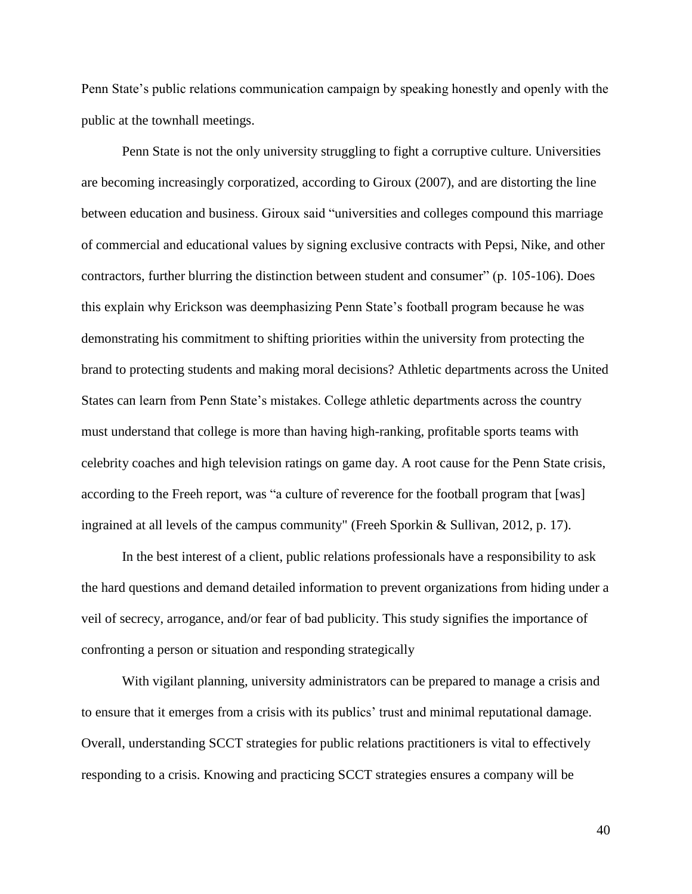Penn State's public relations communication campaign by speaking honestly and openly with the public at the townhall meetings.

Penn State is not the only university struggling to fight a corruptive culture. Universities are becoming increasingly corporatized, according to Giroux (2007), and are distorting the line between education and business. Giroux said "universities and colleges compound this marriage of commercial and educational values by signing exclusive contracts with Pepsi, Nike, and other contractors, further blurring the distinction between student and consumer" (p. 105-106). Does this explain why Erickson was deemphasizing Penn State's football program because he was demonstrating his commitment to shifting priorities within the university from protecting the brand to protecting students and making moral decisions? Athletic departments across the United States can learn from Penn State's mistakes. College athletic departments across the country must understand that college is more than having high-ranking, profitable sports teams with celebrity coaches and high television ratings on game day. A root cause for the Penn State crisis, according to the Freeh report, was "a culture of reverence for the football program that [was] ingrained at all levels of the campus community" (Freeh Sporkin & Sullivan, 2012, p. 17).

In the best interest of a client, public relations professionals have a responsibility to ask the hard questions and demand detailed information to prevent organizations from hiding under a veil of secrecy, arrogance, and/or fear of bad publicity. This study signifies the importance of confronting a person or situation and responding strategically

With vigilant planning, university administrators can be prepared to manage a crisis and to ensure that it emerges from a crisis with its publics' trust and minimal reputational damage. Overall, understanding SCCT strategies for public relations practitioners is vital to effectively responding to a crisis. Knowing and practicing SCCT strategies ensures a company will be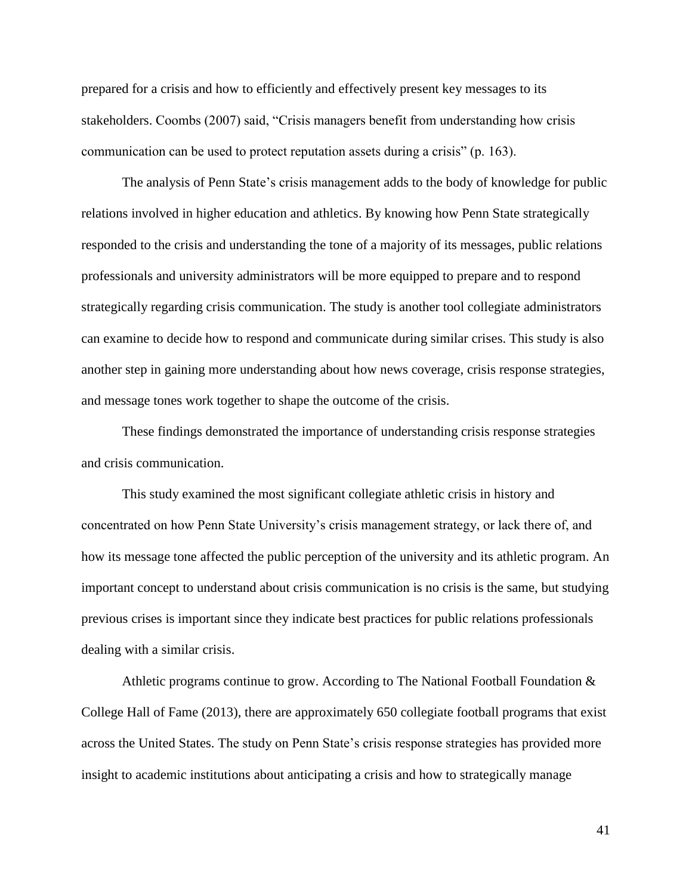prepared for a crisis and how to efficiently and effectively present key messages to its stakeholders. Coombs (2007) said, "Crisis managers benefit from understanding how crisis communication can be used to protect reputation assets during a crisis" (p. 163).

The analysis of Penn State's crisis management adds to the body of knowledge for public relations involved in higher education and athletics. By knowing how Penn State strategically responded to the crisis and understanding the tone of a majority of its messages, public relations professionals and university administrators will be more equipped to prepare and to respond strategically regarding crisis communication. The study is another tool collegiate administrators can examine to decide how to respond and communicate during similar crises. This study is also another step in gaining more understanding about how news coverage, crisis response strategies, and message tones work together to shape the outcome of the crisis.

These findings demonstrated the importance of understanding crisis response strategies and crisis communication.

This study examined the most significant collegiate athletic crisis in history and concentrated on how Penn State University's crisis management strategy, or lack there of, and how its message tone affected the public perception of the university and its athletic program. An important concept to understand about crisis communication is no crisis is the same, but studying previous crises is important since they indicate best practices for public relations professionals dealing with a similar crisis.

Athletic programs continue to grow. According to The National Football Foundation & College Hall of Fame (2013), there are approximately 650 collegiate football programs that exist across the United States. The study on Penn State's crisis response strategies has provided more insight to academic institutions about anticipating a crisis and how to strategically manage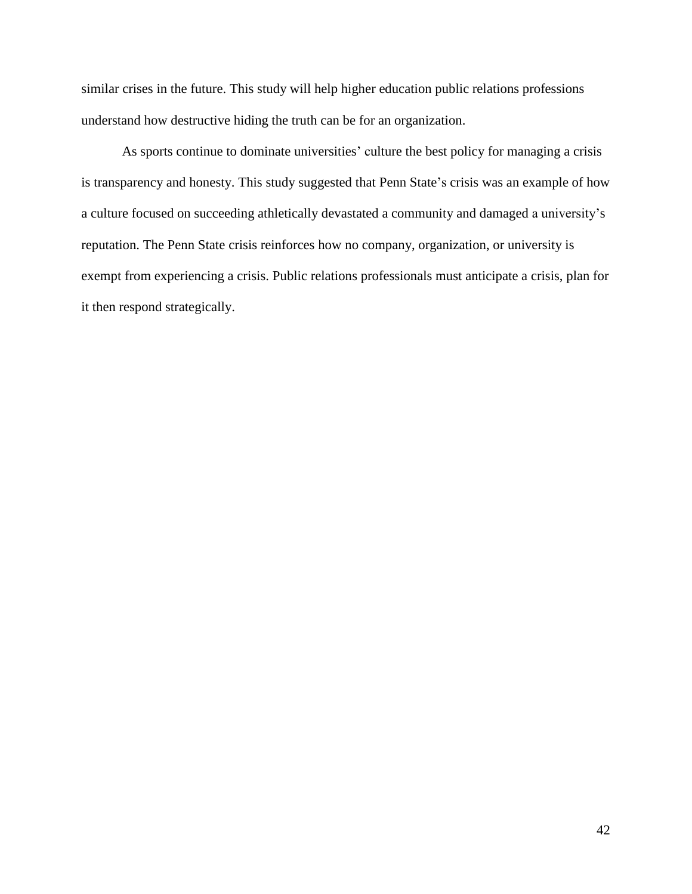similar crises in the future. This study will help higher education public relations professions understand how destructive hiding the truth can be for an organization.

As sports continue to dominate universities' culture the best policy for managing a crisis is transparency and honesty. This study suggested that Penn State's crisis was an example of how a culture focused on succeeding athletically devastated a community and damaged a university's reputation. The Penn State crisis reinforces how no company, organization, or university is exempt from experiencing a crisis. Public relations professionals must anticipate a crisis, plan for it then respond strategically.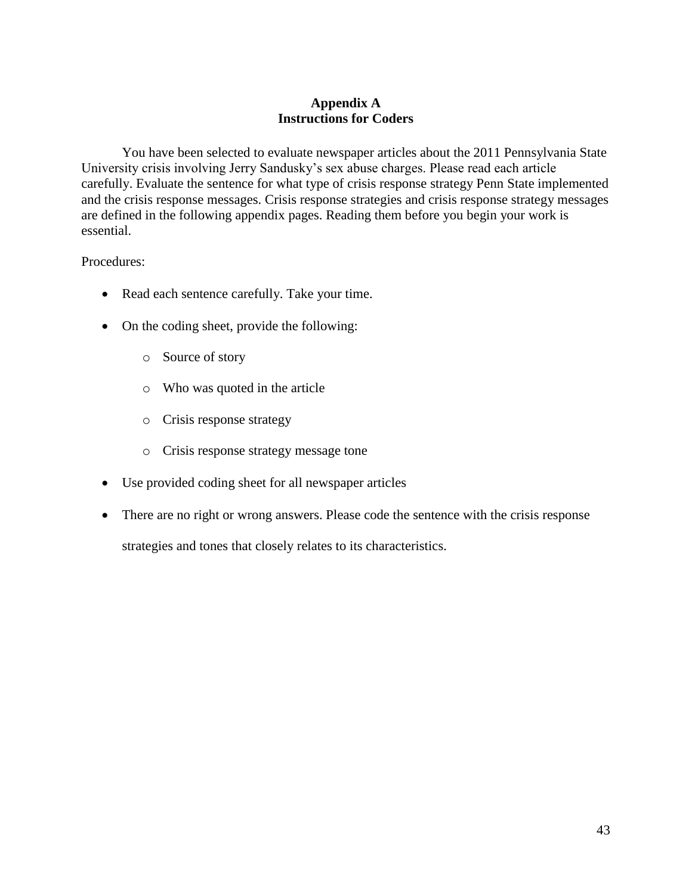# **Appendix A Instructions for Coders**

You have been selected to evaluate newspaper articles about the 2011 Pennsylvania State University crisis involving Jerry Sandusky's sex abuse charges. Please read each article carefully. Evaluate the sentence for what type of crisis response strategy Penn State implemented and the crisis response messages. Crisis response strategies and crisis response strategy messages are defined in the following appendix pages. Reading them before you begin your work is essential.

Procedures:

- Read each sentence carefully. Take your time.
- On the coding sheet, provide the following:
	- o Source of story
	- o Who was quoted in the article
	- o Crisis response strategy
	- o Crisis response strategy message tone
- Use provided coding sheet for all newspaper articles
- There are no right or wrong answers. Please code the sentence with the crisis response strategies and tones that closely relates to its characteristics.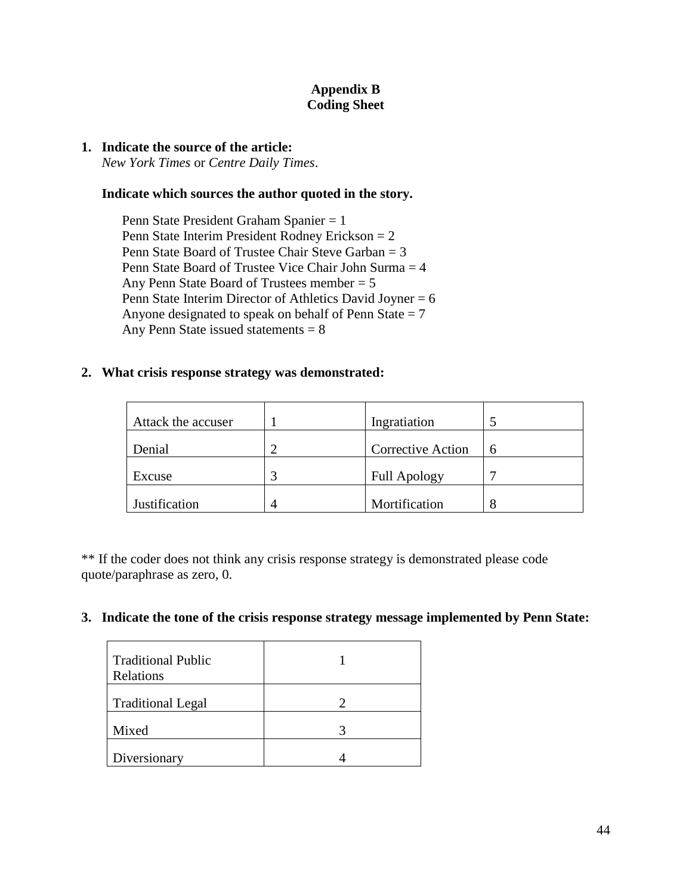# **Appendix B Coding Sheet**

## **1. Indicate the source of the article:**

*New York Times* or *Centre Daily Times*.

# **Indicate which sources the author quoted in the story.**

Penn State President Graham Spanier = 1 Penn State Interim President Rodney Erickson = 2 Penn State Board of Trustee Chair Steve Garban = 3 Penn State Board of Trustee Vice Chair John Surma = 4 Any Penn State Board of Trustees member = 5 Penn State Interim Director of Athletics David Joyner = 6 Anyone designated to speak on behalf of Penn State  $= 7$ Any Penn State issued statements  $= 8$ 

# **2. What crisis response strategy was demonstrated:**

| Attack the accuser | Ingratiation             |   |
|--------------------|--------------------------|---|
| Denial             | <b>Corrective Action</b> | 6 |
| Excuse             | <b>Full Apology</b>      |   |
| Justification      | Mortification            |   |

\*\* If the coder does not think any crisis response strategy is demonstrated please code quote/paraphrase as zero, 0.

## **3. Indicate the tone of the crisis response strategy message implemented by Penn State:**

| <b>Traditional Public</b><br>Relations |  |
|----------------------------------------|--|
| <b>Traditional Legal</b>               |  |
| Mixed                                  |  |
| Diversionary                           |  |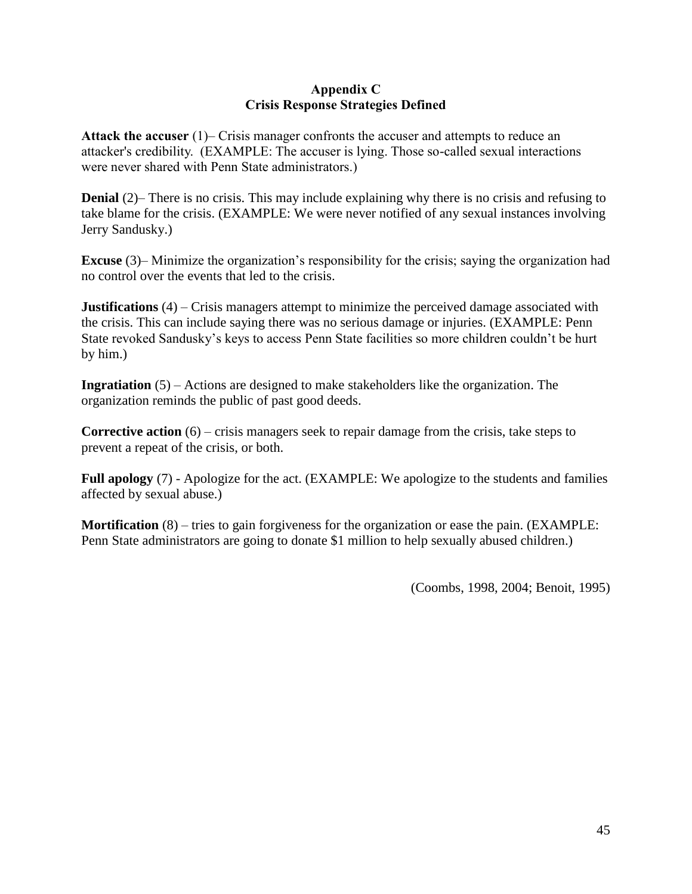# **Appendix C Crisis Response Strategies Defined**

**Attack the accuser** (1)– Crisis manager confronts the accuser and attempts to reduce an attacker's credibility. (EXAMPLE: The accuser is lying. Those so-called sexual interactions were never shared with Penn State administrators.)

**Denial** (2)– There is no crisis. This may include explaining why there is no crisis and refusing to take blame for the crisis. (EXAMPLE: We were never notified of any sexual instances involving Jerry Sandusky.)

**Excuse** (3)– Minimize the organization's responsibility for the crisis; saying the organization had no control over the events that led to the crisis.

**Justifications** (4) – Crisis managers attempt to minimize the perceived damage associated with the crisis. This can include saying there was no serious damage or injuries. (EXAMPLE: Penn State revoked Sandusky's keys to access Penn State facilities so more children couldn't be hurt by him.)

**Ingratiation** (5) – Actions are designed to make stakeholders like the organization. The organization reminds the public of past good deeds.

**Corrective action** (6) – crisis managers seek to repair damage from the crisis, take steps to prevent a repeat of the crisis, or both.

**Full apology** (7) - Apologize for the act. (EXAMPLE: We apologize to the students and families affected by sexual abuse.)

**Mortification** (8) – tries to gain forgiveness for the organization or ease the pain. (EXAMPLE: Penn State administrators are going to donate \$1 million to help sexually abused children.)

(Coombs, 1998, 2004; Benoit, 1995)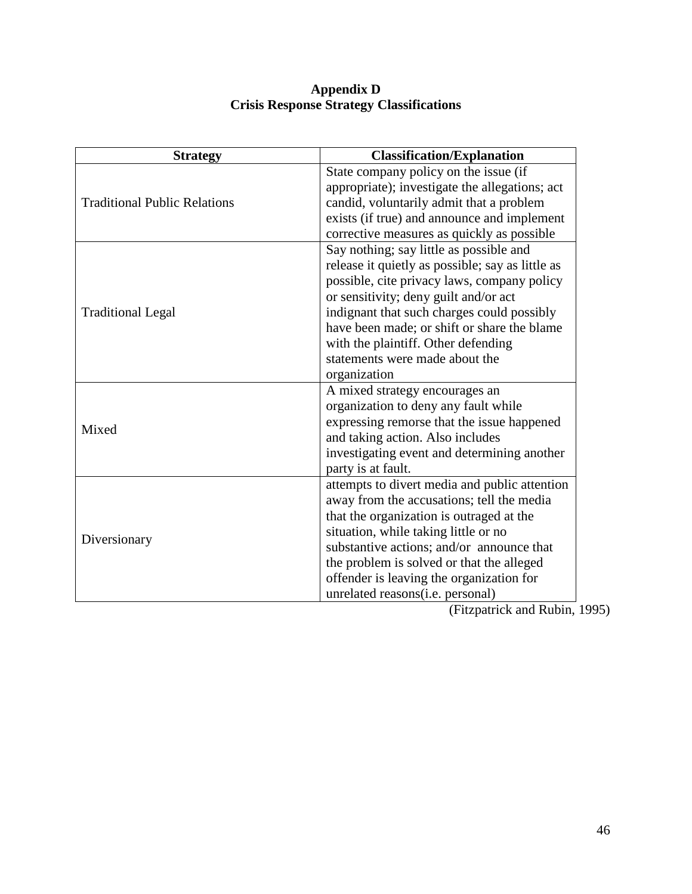## **Appendix D Crisis Response Strategy Classifications**

| <b>Strategy</b>                     | <b>Classification/Explanation</b>                |
|-------------------------------------|--------------------------------------------------|
|                                     | State company policy on the issue (if            |
|                                     | appropriate); investigate the allegations; act   |
| <b>Traditional Public Relations</b> | candid, voluntarily admit that a problem         |
|                                     | exists (if true) and announce and implement      |
|                                     | corrective measures as quickly as possible       |
|                                     | Say nothing; say little as possible and          |
|                                     | release it quietly as possible; say as little as |
|                                     | possible, cite privacy laws, company policy      |
|                                     | or sensitivity; deny guilt and/or act            |
| <b>Traditional Legal</b>            | indignant that such charges could possibly       |
|                                     | have been made; or shift or share the blame      |
|                                     | with the plaintiff. Other defending              |
|                                     | statements were made about the                   |
|                                     | organization                                     |
|                                     | A mixed strategy encourages an                   |
|                                     | organization to deny any fault while             |
| Mixed                               | expressing remorse that the issue happened       |
|                                     | and taking action. Also includes                 |
|                                     | investigating event and determining another      |
|                                     | party is at fault.                               |
|                                     | attempts to divert media and public attention    |
|                                     | away from the accusations; tell the media        |
|                                     | that the organization is outraged at the         |
| Diversionary                        | situation, while taking little or no             |
|                                     | substantive actions; and/or announce that        |
|                                     | the problem is solved or that the alleged        |
|                                     | offender is leaving the organization for         |
|                                     | unrelated reasons(i.e. personal)                 |

(Fitzpatrick and Rubin, 1995)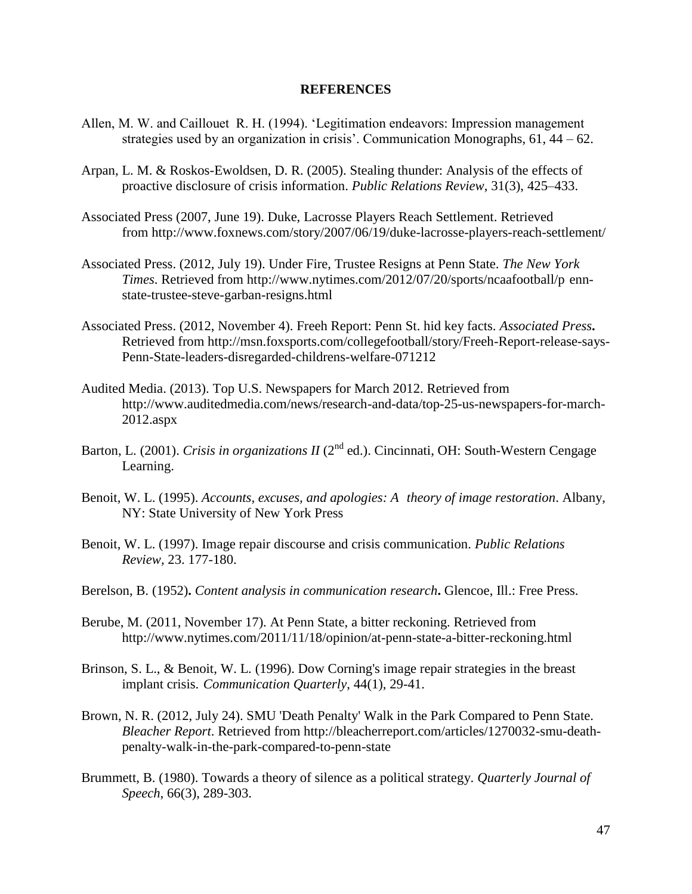### **REFERENCES**

- Allen, M. W. and Caillouet R. H. (1994). 'Legitimation endeavors: Impression management strategies used by an organization in crisis'. Communication Monographs, 61, 44 – 62.
- Arpan, L. M. & Roskos-Ewoldsen, D. R. (2005). Stealing thunder: Analysis of the effects of proactive disclosure of crisis information. *Public Relations Review*, 31(3), 425–433.
- Associated Press (2007, June 19). Duke, Lacrosse Players Reach Settlement. Retrieved from http://www.foxnews.com/story/2007/06/19/duke-lacrosse-players-reach-settlement/
- Associated Press. (2012, July 19). Under Fire, Trustee Resigns at Penn State. *The New York Times*. Retrieved from http://www.nytimes.com/2012/07/20/sports/ncaafootball/p ennstate-trustee-steve-garban-resigns.html
- Associated Press. (2012, November 4). Freeh Report: Penn St. hid key facts. *Associated Press***.** Retrieved from http://msn.foxsports.com/collegefootball/story/Freeh-Report-release-says-Penn-State-leaders-disregarded-childrens-welfare-071212
- Audited Media. (2013). Top U.S. Newspapers for March 2012. Retrieved from http://www.auditedmedia.com/news/research-and-data/top-25-us-newspapers-for-march-2012.aspx
- Barton, L. (2001). *Crisis in organizations II* (2<sup>nd</sup> ed.). Cincinnati, OH: South-Western Cengage Learning.
- Benoit, W. L. (1995). *Accounts, excuses, and apologies: A theory of image restoration*. Albany, NY: State University of New York Press
- Benoit, W. L. (1997). Image repair discourse and crisis communication. *Public Relations Review,* 23. 177-180.
- Berelson, B. (1952)**.** *Content analysis in communication research***.** Glencoe, Ill.: Free Press.
- Berube, M. (2011, November 17). At Penn State, a bitter reckoning. Retrieved from http://www.nytimes.com/2011/11/18/opinion/at-penn-state-a-bitter-reckoning.html
- Brinson, S. L., & Benoit, W. L. (1996). Dow Corning's image repair strategies in the breast implant crisis. *Communication Quarterly*, 44(1), 29-41.
- Brown, N. R. (2012, July 24). SMU 'Death Penalty' Walk in the Park Compared to Penn State. *Bleacher Report*. Retrieved from http://bleacherreport.com/articles/1270032-smu-deathpenalty-walk-in-the-park-compared-to-penn-state
- Brummett, B. (1980). Towards a theory of silence as a political strategy. *Quarterly Journal of Speech*, 66(3), 289-303.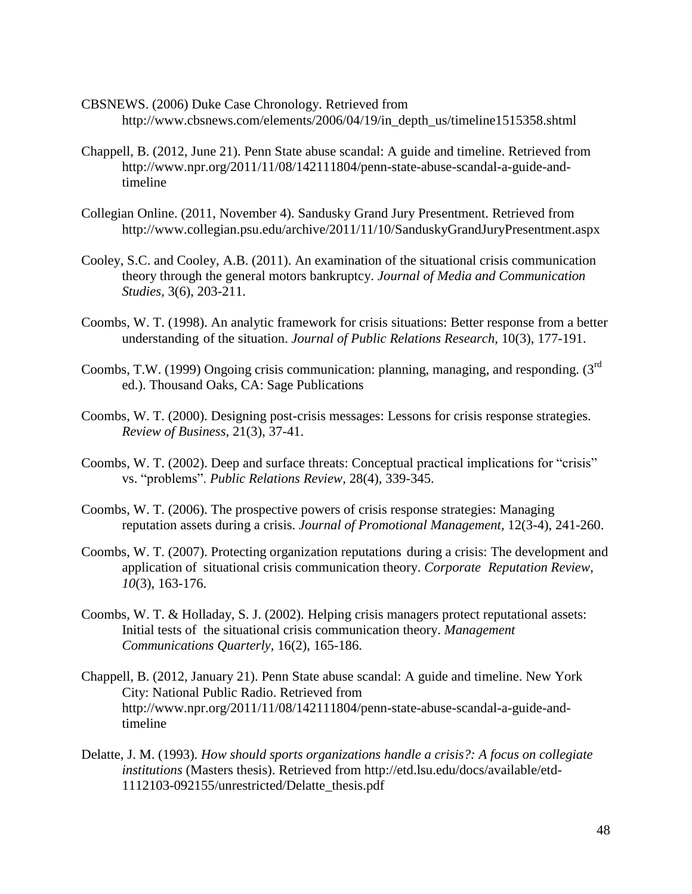- CBSNEWS. (2006) Duke Case Chronology. Retrieved from http://www.cbsnews.com/elements/2006/04/19/in\_depth\_us/timeline1515358.shtml
- Chappell, B. (2012, June 21). Penn State abuse scandal: A guide and timeline. Retrieved from http://www.npr.org/2011/11/08/142111804/penn-state-abuse-scandal-a-guide-andtimeline
- Collegian Online. (2011, November 4). Sandusky Grand Jury Presentment. Retrieved from http://www.collegian.psu.edu/archive/2011/11/10/SanduskyGrandJuryPresentment.aspx
- Cooley, S.C. and Cooley, A.B. (2011). An examination of the situational crisis communication theory through the general motors bankruptcy. *Journal of Media and Communication Studies*, 3(6), 203-211.
- Coombs, W. T. (1998). An analytic framework for crisis situations: Better response from a better understanding of the situation. *Journal of Public Relations Research*, 10(3), 177-191.
- Coombs, T.W. (1999) Ongoing crisis communication: planning, managing, and responding. (3rd ed.). Thousand Oaks, CA: Sage Publications
- Coombs, W. T. (2000). Designing post-crisis messages: Lessons for crisis response strategies. *Review of Business*, 21(3), 37-41.
- Coombs, W. T. (2002). Deep and surface threats: Conceptual practical implications for "crisis" vs. "problems". *Public Relations Review,* 28(4), 339-345.
- Coombs, W. T. (2006). The prospective powers of crisis response strategies: Managing reputation assets during a crisis. *Journal of Promotional Management,* 12(3-4), 241-260.
- Coombs, W. T. (2007). Protecting organization reputations during a crisis: The development and application of situational crisis communication theory. *Corporate Reputation Review*, *10*(3), 163-176.
- Coombs, W. T. & Holladay, S. J. (2002). Helping crisis managers protect reputational assets: Initial tests of the situational crisis communication theory. *Management Communications Quarterly,* 16(2), 165-186.
- Chappell, B. (2012, January 21). Penn State abuse scandal: A guide and timeline. New York City: National Public Radio. Retrieved from http://www.npr.org/2011/11/08/142111804/penn-state-abuse-scandal-a-guide-andtimeline
- Delatte, J. M. (1993). *How should sports organizations handle a crisis?: A focus on collegiate institutions* (Masters thesis). Retrieved from http://etd.lsu.edu/docs/available/etd-1112103-092155/unrestricted/Delatte\_thesis.pdf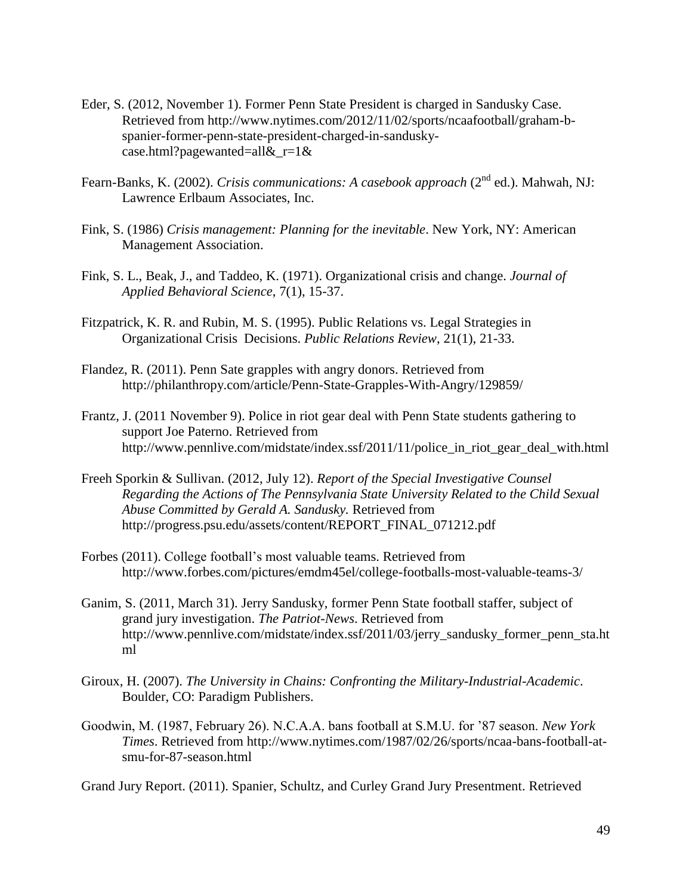- Eder, S. (2012, November 1). Former Penn State President is charged in Sandusky Case. Retrieved from http://www.nytimes.com/2012/11/02/sports/ncaafootball/graham-bspanier-former-penn-state-president-charged-in-sanduskycase.html?pagewanted=all& $r=1$ &
- Fearn-Banks, K. (2002). *Crisis communications: A casebook approach* (2<sup>nd</sup> ed.). Mahwah, NJ: Lawrence Erlbaum Associates, Inc.
- Fink, S. (1986) *Crisis management: Planning for the inevitable*. New York, NY: American Management Association.
- Fink, S. L., Beak, J., and Taddeo, K. (1971). Organizational crisis and change. *Journal of Applied Behavioral Science*, 7(1), 15-37.
- Fitzpatrick, K. R. and Rubin, M. S. (1995). Public Relations vs. Legal Strategies in Organizational Crisis Decisions. *Public Relations Review*, 21(1), 21-33.
- Flandez, R. (2011). Penn Sate grapples with angry donors. Retrieved from http://philanthropy.com/article/Penn-State-Grapples-With-Angry/129859/
- Frantz, J. (2011 November 9). Police in riot gear deal with Penn State students gathering to support Joe Paterno. Retrieved from http://www.pennlive.com/midstate/index.ssf/2011/11/police\_in\_riot\_gear\_deal\_with.html
- Freeh Sporkin & Sullivan. (2012, July 12). *Report of the Special Investigative Counsel Regarding the Actions of The Pennsylvania State University Related to the Child Sexual Abuse Committed by Gerald A. Sandusky.* Retrieved from http://progress.psu.edu/assets/content/REPORT\_FINAL\_071212.pdf
- Forbes (2011). College football's most valuable teams. Retrieved from http://www.forbes.com/pictures/emdm45el/college-footballs-most-valuable-teams-3/
- Ganim, S. (2011, March 31). Jerry Sandusky, former Penn State football staffer, subject of grand jury investigation. *The Patriot-News*. Retrieved from http://www.pennlive.com/midstate/index.ssf/2011/03/jerry\_sandusky\_former\_penn\_sta.ht ml
- Giroux, H. (2007). *The University in Chains: Confronting the Military-Industrial-Academic*. Boulder, CO: Paradigm Publishers.
- Goodwin, M. (1987, February 26). N.C.A.A. bans football at S.M.U. for '87 season. *New York Times*. Retrieved from http://www.nytimes.com/1987/02/26/sports/ncaa-bans-football-atsmu-for-87-season.html

Grand Jury Report. (2011). Spanier, Schultz, and Curley Grand Jury Presentment. Retrieved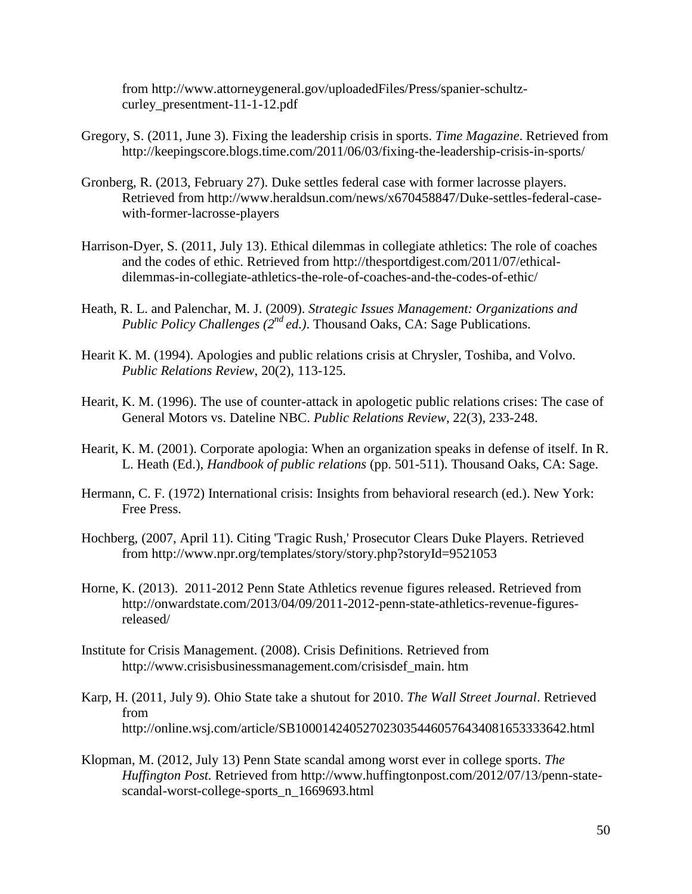from http://www.attorneygeneral.gov/uploadedFiles/Press/spanier-schultzcurley\_presentment-11-1-12.pdf

- Gregory, S. (2011, June 3). Fixing the leadership crisis in sports. *Time Magazine*. Retrieved from http://keepingscore.blogs.time.com/2011/06/03/fixing-the-leadership-crisis-in-sports/
- Gronberg, R. (2013, February 27). Duke settles federal case with former lacrosse players. Retrieved from http://www.heraldsun.com/news/x670458847/Duke-settles-federal-casewith-former-lacrosse-players
- Harrison-Dyer, S. (2011, July 13). Ethical dilemmas in collegiate athletics: The role of coaches and the codes of ethic. Retrieved from http://thesportdigest.com/2011/07/ethicaldilemmas-in-collegiate-athletics-the-role-of-coaches-and-the-codes-of-ethic/
- Heath, R. L. and Palenchar, M. J. (2009). *Strategic Issues Management: Organizations and Public Policy Challenges (2nd ed.)*. Thousand Oaks, CA: Sage Publications.
- Hearit K. M. (1994). Apologies and public relations crisis at Chrysler, Toshiba, and Volvo. *Public Relations Review*, 20(2), 113-125.
- Hearit, K. M. (1996). The use of counter-attack in apologetic public relations crises: The case of General Motors vs. Dateline NBC. *Public Relations Review*, 22(3), 233-248.
- Hearit, K. M. (2001). Corporate apologia: When an organization speaks in defense of itself. In R. L. Heath (Ed.), *Handbook of public relations* (pp. 501-511). Thousand Oaks, CA: Sage.
- Hermann, C. F. (1972) International crisis: Insights from behavioral research (ed.). New York: Free Press.
- Hochberg, (2007, April 11). Citing 'Tragic Rush,' Prosecutor Clears Duke Players. Retrieved from http://www.npr.org/templates/story/story.php?storyId=9521053
- Horne, K. (2013). 2011-2012 Penn State Athletics revenue figures released. Retrieved from http://onwardstate.com/2013/04/09/2011-2012-penn-state-athletics-revenue-figuresreleased/
- Institute for Crisis Management. (2008). Crisis Definitions. Retrieved from http://www.crisisbusinessmanagement.com/crisisdef\_main. htm
- Karp, H. (2011, July 9). Ohio State take a shutout for 2010. *The Wall Street Journal*. Retrieved from http://online.wsj.com/article/SB1000142405270230354460576434081653333642.html
- Klopman, M. (2012, July 13) Penn State scandal among worst ever in college sports. *The Huffington Post.* Retrieved from http://www.huffingtonpost.com/2012/07/13/penn-statescandal-worst-college-sports\_n\_1669693.html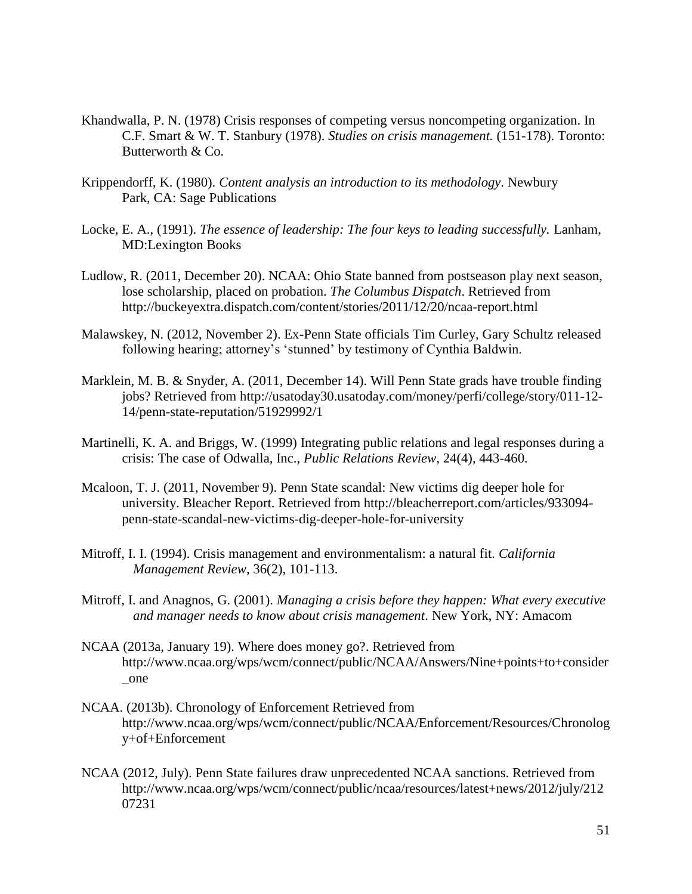- Khandwalla, P. N. (1978) Crisis responses of competing versus noncompeting organization. In C.F. Smart & W. T. Stanbury (1978). *Studies on crisis management.* (151-178). Toronto: Butterworth & Co.
- Krippendorff, K. (1980). *Content analysis an introduction to its methodology*. Newbury Park, CA: Sage Publications
- Locke, E. A., (1991). *The essence of leadership: The four keys to leading successfully.* Lanham, MD:Lexington Books
- Ludlow, R. (2011, December 20). NCAA: Ohio State banned from postseason play next season, lose scholarship, placed on probation. *The Columbus Dispatch*. Retrieved from http://buckeyextra.dispatch.com/content/stories/2011/12/20/ncaa-report.html
- Malawskey, N. (2012, November 2). Ex-Penn State officials Tim Curley, Gary Schultz released following hearing; attorney's 'stunned' by testimony of Cynthia Baldwin.
- Marklein, M. B. & Snyder, A. (2011, December 14). Will Penn State grads have trouble finding jobs? Retrieved from http://usatoday30.usatoday.com/money/perfi/college/story/011-12- 14/penn-state-reputation/51929992/1
- Martinelli, K. A. and Briggs, W. (1999) Integrating public relations and legal responses during a crisis: The case of Odwalla, Inc., *Public Relations Review*, 24(4), 443-460.
- Mcaloon, T. J. (2011, November 9). Penn State scandal: New victims dig deeper hole for university. Bleacher Report. Retrieved from http://bleacherreport.com/articles/933094 penn-state-scandal-new-victims-dig-deeper-hole-for-university
- Mitroff, I. I. (1994). Crisis management and environmentalism: a natural fit. *California Management Review*, 36(2), 101-113.
- Mitroff, I. and Anagnos, G. (2001). *Managing a crisis before they happen: What every executive and manager needs to know about crisis management*. New York, NY: Amacom
- NCAA (2013a, January 19). Where does money go?. Retrieved from http://www.ncaa.org/wps/wcm/connect/public/NCAA/Answers/Nine+points+to+consider \_one
- NCAA. (2013b). Chronology of Enforcement Retrieved from http://www.ncaa.org/wps/wcm/connect/public/NCAA/Enforcement/Resources/Chronolog y+of+Enforcement
- NCAA (2012, July). Penn State failures draw unprecedented NCAA sanctions. Retrieved from http://www.ncaa.org/wps/wcm/connect/public/ncaa/resources/latest+news/2012/july/212 07231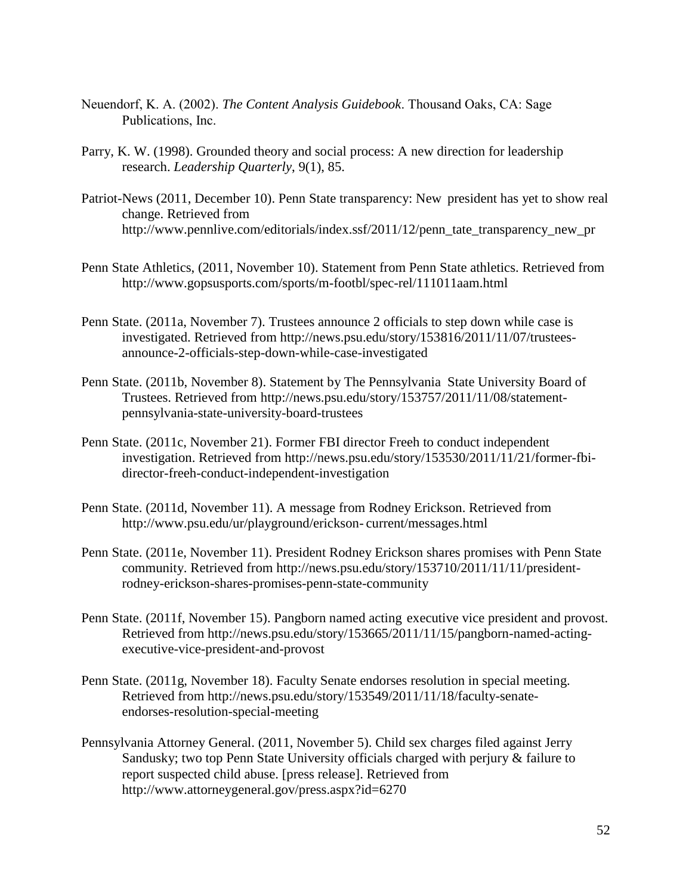- Neuendorf, K. A. (2002). *The Content Analysis Guidebook*. Thousand Oaks, CA: Sage Publications, Inc.
- Parry, K. W. (1998). Grounded theory and social process: A new direction for leadership research. *Leadership Quarterly*, 9(1), 85.
- Patriot-News (2011, December 10). Penn State transparency: New president has yet to show real change. Retrieved from http://www.pennlive.com/editorials/index.ssf/2011/12/penn\_tate\_transparency\_new\_pr
- Penn State Athletics, (2011, November 10). Statement from Penn State athletics. Retrieved from http://www.gopsusports.com/sports/m-footbl/spec-rel/111011aam.html
- Penn State. (2011a, November 7). Trustees announce 2 officials to step down while case is investigated. Retrieved from http://news.psu.edu/story/153816/2011/11/07/trusteesannounce-2-officials-step-down-while-case-investigated
- Penn State. (2011b, November 8). Statement by The Pennsylvania State University Board of Trustees. Retrieved from http://news.psu.edu/story/153757/2011/11/08/statementpennsylvania-state-university-board-trustees
- Penn State. (2011c, November 21). Former FBI director Freeh to conduct independent investigation. Retrieved from http://news.psu.edu/story/153530/2011/11/21/former-fbidirector-freeh-conduct-independent-investigation
- Penn State. (2011d, November 11). A message from Rodney Erickson. Retrieved from http://www.psu.edu/ur/playground/erickson- current/messages.html
- Penn State. (2011e, November 11). President Rodney Erickson shares promises with Penn State community. Retrieved from http://news.psu.edu/story/153710/2011/11/11/presidentrodney-erickson-shares-promises-penn-state-community
- Penn State. (2011f, November 15). Pangborn named acting executive vice president and provost. Retrieved from http://news.psu.edu/story/153665/2011/11/15/pangborn-named-actingexecutive-vice-president-and-provost
- Penn State. (2011g, November 18). Faculty Senate endorses resolution in special meeting. Retrieved from http://news.psu.edu/story/153549/2011/11/18/faculty-senateendorses-resolution-special-meeting
- Pennsylvania Attorney General. (2011, November 5). Child sex charges filed against Jerry Sandusky; two top Penn State University officials charged with perjury & failure to report suspected child abuse. [press release]. Retrieved from http://www.attorneygeneral.gov/press.aspx?id=6270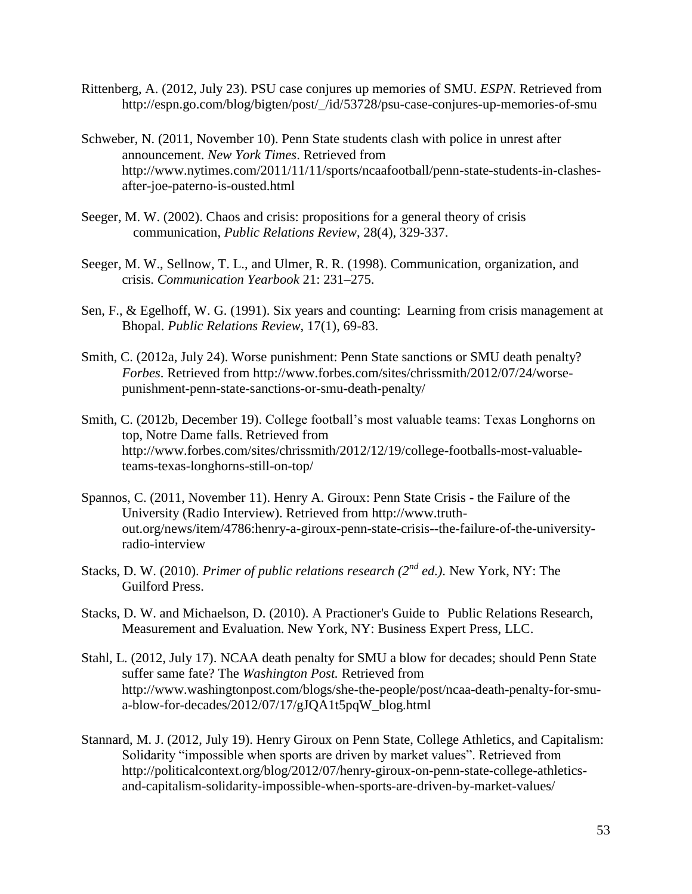- Rittenberg, A. (2012, July 23). PSU case conjures up memories of SMU. *ESPN*. Retrieved from http://espn.go.com/blog/bigten/post/\_/id/53728/psu-case-conjures-up-memories-of-smu
- Schweber, N. (2011, November 10). Penn State students clash with police in unrest after announcement. *New York Times*. Retrieved from http://www.nytimes.com/2011/11/11/sports/ncaafootball/penn-state-students-in-clashesafter-joe-paterno-is-ousted.html
- Seeger, M. W. (2002). Chaos and crisis: propositions for a general theory of crisis communication, *Public Relations Review*, 28(4), 329-337.
- Seeger, M. W., Sellnow, T. L., and Ulmer, R. R. (1998). Communication, organization, and crisis. *Communication Yearbook* 21: 231–275.
- Sen, F., & Egelhoff, W. G. (1991). Six years and counting: Learning from crisis management at Bhopal. *Public Relations Review*, 17(1), 69-83.
- Smith, C. (2012a, July 24). Worse punishment: Penn State sanctions or SMU death penalty? *Forbes*. Retrieved from http://www.forbes.com/sites/chrissmith/2012/07/24/worsepunishment-penn-state-sanctions-or-smu-death-penalty/
- Smith, C. (2012b, December 19). College football's most valuable teams: Texas Longhorns on top, Notre Dame falls. Retrieved from http://www.forbes.com/sites/chrissmith/2012/12/19/college-footballs-most-valuableteams-texas-longhorns-still-on-top/
- Spannos, C. (2011, November 11). Henry A. Giroux: Penn State Crisis the Failure of the University (Radio Interview). Retrieved from http://www.truthout.org/news/item/4786:henry-a-giroux-penn-state-crisis--the-failure-of-the-universityradio-interview
- Stacks, D. W. (2010). *Primer of public relations research (2nd ed.)*. New York, NY: The Guilford Press.
- Stacks, D. W. and Michaelson, D. (2010). A Practioner's Guide to Public Relations Research, Measurement and Evaluation. New York, NY: Business Expert Press, LLC.
- Stahl, L. (2012, July 17). NCAA death penalty for SMU a blow for decades; should Penn State suffer same fate? The *Washington Post.* Retrieved from http://www.washingtonpost.com/blogs/she-the-people/post/ncaa-death-penalty-for-smua-blow-for-decades/2012/07/17/gJQA1t5pqW\_blog.html
- Stannard, M. J. (2012, July 19). Henry Giroux on Penn State, College Athletics, and Capitalism: Solidarity "impossible when sports are driven by market values". Retrieved from http://politicalcontext.org/blog/2012/07/henry-giroux-on-penn-state-college-athleticsand-capitalism-solidarity-impossible-when-sports-are-driven-by-market-values/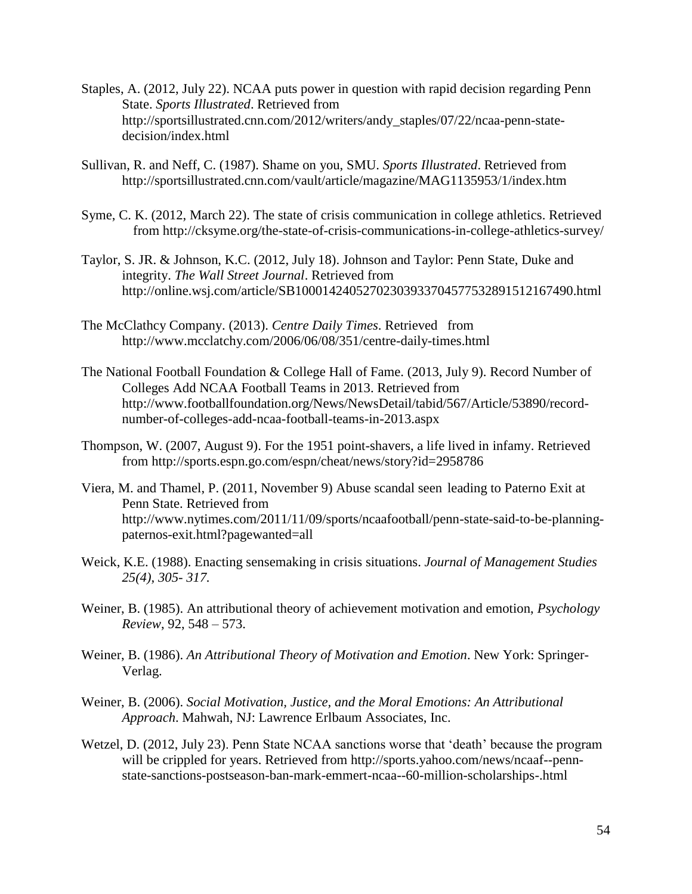- Staples, A. (2012, July 22). NCAA puts power in question with rapid decision regarding Penn State. *Sports Illustrated*. Retrieved from http://sportsillustrated.cnn.com/2012/writers/andy\_staples/07/22/ncaa-penn-statedecision/index.html
- Sullivan, R. and Neff, C. (1987). Shame on you, SMU. *Sports Illustrated*. Retrieved from http://sportsillustrated.cnn.com/vault/article/magazine/MAG1135953/1/index.htm
- Syme, C. K. (2012, March 22). The state of crisis communication in college athletics. Retrieved from http://cksyme.org/the-state-of-crisis-communications-in-college-athletics-survey/
- Taylor, S. JR. & Johnson, K.C. (2012, July 18). Johnson and Taylor: Penn State, Duke and integrity. *The Wall Street Journal*. Retrieved from http://online.wsj.com/article/SB10001424052702303933704577532891512167490.html
- The McClathcy Company. (2013). *Centre Daily Times*. Retrieved from http://www.mcclatchy.com/2006/06/08/351/centre-daily-times.html
- The National Football Foundation & College Hall of Fame. (2013, July 9). Record Number of Colleges Add NCAA Football Teams in 2013. Retrieved from http://www.footballfoundation.org/News/NewsDetail/tabid/567/Article/53890/recordnumber-of-colleges-add-ncaa-football-teams-in-2013.aspx
- Thompson, W. (2007, August 9). For the 1951 point-shavers, a life lived in infamy. Retrieved from http://sports.espn.go.com/espn/cheat/news/story?id=2958786
- Viera, M. and Thamel, P. (2011, November 9) Abuse scandal seen leading to Paterno Exit at Penn State. Retrieved from http://www.nytimes.com/2011/11/09/sports/ncaafootball/penn-state-said-to-be-planningpaternos-exit.html?pagewanted=all
- Weick, K.E. (1988). Enacting sensemaking in crisis situations. *Journal of Management Studies 25(4), 305- 317.*
- Weiner, B. (1985). An attributional theory of achievement motivation and emotion, *Psychology Review*, 92, 548 – 573.
- Weiner, B. (1986). *An Attributional Theory of Motivation and Emotion*. New York: Springer-Verlag.
- Weiner, B. (2006). *Social Motivation, Justice, and the Moral Emotions: An Attributional Approach*. Mahwah, NJ: Lawrence Erlbaum Associates, Inc.
- Wetzel, D. (2012, July 23). Penn State NCAA sanctions worse that 'death' because the program will be crippled for years. Retrieved from http://sports.yahoo.com/news/ncaaf--pennstate-sanctions-postseason-ban-mark-emmert-ncaa--60-million-scholarships-.html